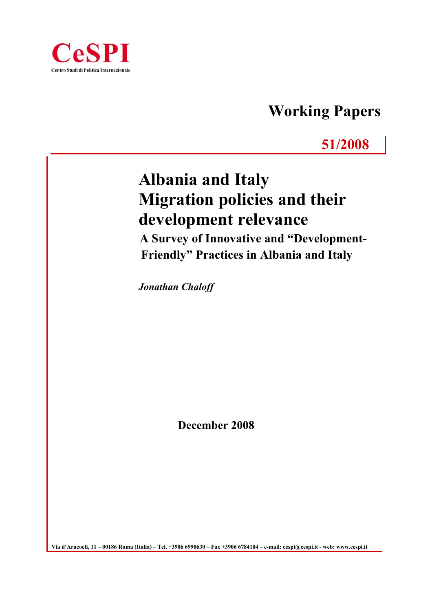

# **Working Papers**

## **51/2008**

# **Albania and Italy Migration policies and their development relevance**

 **A Survey of Innovative and "Development- Friendly" Practices in Albania and Italy**

*Jonathan Chaloff* 

**December 2008**

**Via d'Aracoeli, 11 – 00186 Roma (Italia) – Tel. +3906 6990630 – Fax +3906 6784104 – e-mail: cespi@cespi.it - web: www.cespi.it**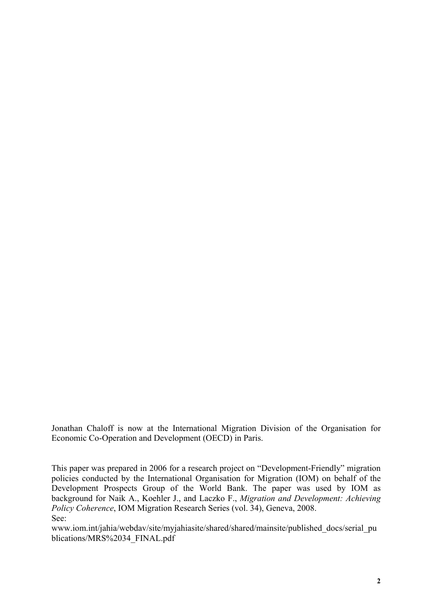Jonathan Chaloff is now at the International Migration Division of the Organisation for Economic Co-Operation and Development (OECD) in Paris.

This paper was prepared in 2006 for a research project on "Development-Friendly" migration policies conducted by the International Organisation for Migration (IOM) on behalf of the Development Prospects Group of the World Bank. The paper was used by IOM as background for Naik A., Koehler J., and Laczko F., *Migration and Development: Achieving Policy Coherence*, IOM Migration Research Series (vol. 34), Geneva, 2008. See:

www.iom.int/jahia/webdav/site/myjahiasite/shared/shared/mainsite/published\_docs/serial\_pu blications/MRS%2034\_FINAL.pdf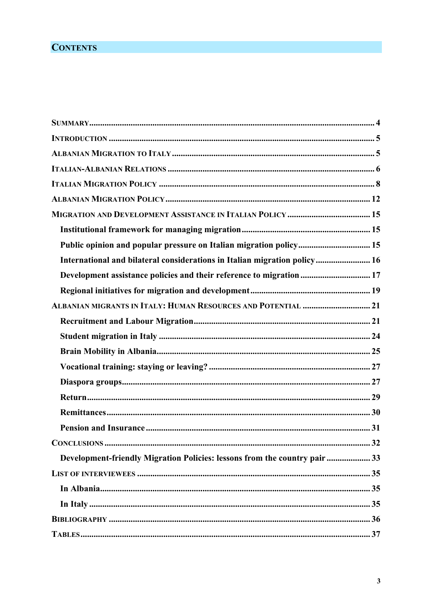### **CONTENTS**

| Public opinion and popular pressure on Italian migration policy 15                                                                                                                                                                                                                                                                                                                      |    |
|-----------------------------------------------------------------------------------------------------------------------------------------------------------------------------------------------------------------------------------------------------------------------------------------------------------------------------------------------------------------------------------------|----|
| International and bilateral considerations in Italian migration policy 16                                                                                                                                                                                                                                                                                                               |    |
| Development assistance policies and their reference to migration  17                                                                                                                                                                                                                                                                                                                    |    |
|                                                                                                                                                                                                                                                                                                                                                                                         |    |
|                                                                                                                                                                                                                                                                                                                                                                                         |    |
|                                                                                                                                                                                                                                                                                                                                                                                         |    |
|                                                                                                                                                                                                                                                                                                                                                                                         |    |
|                                                                                                                                                                                                                                                                                                                                                                                         |    |
|                                                                                                                                                                                                                                                                                                                                                                                         |    |
|                                                                                                                                                                                                                                                                                                                                                                                         |    |
|                                                                                                                                                                                                                                                                                                                                                                                         |    |
|                                                                                                                                                                                                                                                                                                                                                                                         |    |
|                                                                                                                                                                                                                                                                                                                                                                                         |    |
|                                                                                                                                                                                                                                                                                                                                                                                         | 32 |
| Development-friendly Migration Policies: lessons from the country pair 33                                                                                                                                                                                                                                                                                                               |    |
|                                                                                                                                                                                                                                                                                                                                                                                         |    |
|                                                                                                                                                                                                                                                                                                                                                                                         |    |
|                                                                                                                                                                                                                                                                                                                                                                                         |    |
|                                                                                                                                                                                                                                                                                                                                                                                         |    |
| $\textit{TABLES} \textit{} \textit{} \textit{} \textit{} \textit{} \textit{} \textit{} \textit{} \textit{} \textit{} \textit{} \textit{} \textit{} \textit{} \textit{} \textit{} \textit{} \textit{} \textit{} \textit{} \textit{} \textit{} \textit{} \textit{} \textit{} \textit{} \textit{} \textit{} \textit{} \textit{} \textit{} \textit{} \textit{} \textit{} \textit{} \textit$ |    |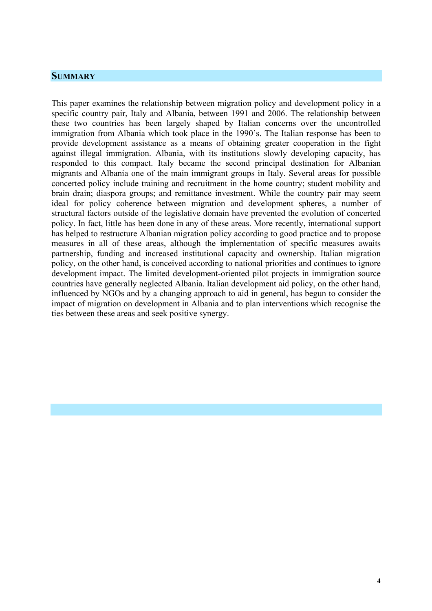#### **SUMMARY**

This paper examines the relationship between migration policy and development policy in a specific country pair, Italy and Albania, between 1991 and 2006. The relationship between these two countries has been largely shaped by Italian concerns over the uncontrolled immigration from Albania which took place in the 1990's. The Italian response has been to provide development assistance as a means of obtaining greater cooperation in the fight against illegal immigration. Albania, with its institutions slowly developing capacity, has responded to this compact. Italy became the second principal destination for Albanian migrants and Albania one of the main immigrant groups in Italy. Several areas for possible concerted policy include training and recruitment in the home country; student mobility and brain drain; diaspora groups; and remittance investment. While the country pair may seem ideal for policy coherence between migration and development spheres, a number of structural factors outside of the legislative domain have prevented the evolution of concerted policy. In fact, little has been done in any of these areas. More recently, international support has helped to restructure Albanian migration policy according to good practice and to propose measures in all of these areas, although the implementation of specific measures awaits partnership, funding and increased institutional capacity and ownership. Italian migration policy, on the other hand, is conceived according to national priorities and continues to ignore development impact. The limited development-oriented pilot projects in immigration source countries have generally neglected Albania. Italian development aid policy, on the other hand, influenced by NGOs and by a changing approach to aid in general, has begun to consider the impact of migration on development in Albania and to plan interventions which recognise the ties between these areas and seek positive synergy.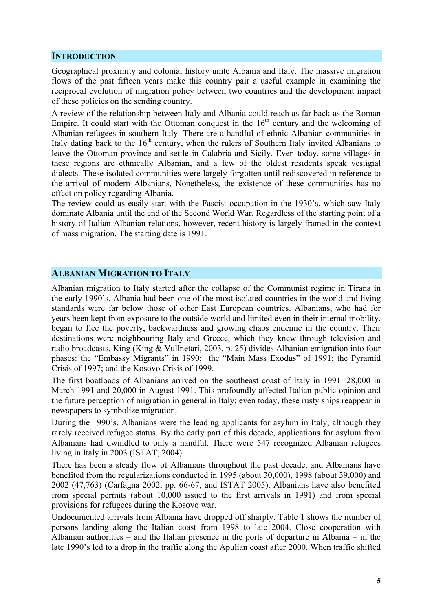#### **INTRODUCTION**

Geographical proximity and colonial history unite Albania and Italy. The massive migration flows of the past fifteen years make this country pair a useful example in examining the reciprocal evolution of migration policy between two countries and the development impact of these policies on the sending country.

A review of the relationship between Italy and Albania could reach as far back as the Roman Empire. It could start with the Ottoman conquest in the  $16<sup>th</sup>$  century and the welcoming of Albanian refugees in southern Italy. There are a handful of ethnic Albanian communities in Italy dating back to the  $16<sup>th</sup>$  century, when the rulers of Southern Italy invited Albanians to leave the Ottoman province and settle in Calabria and Sicily. Even today, some villages in these regions are ethnically Albanian, and a few of the oldest residents speak vestigial dialects. These isolated communities were largely forgotten until rediscovered in reference to the arrival of modern Albanians. Nonetheless, the existence of these communities has no effect on policy regarding Albania.

The review could as easily start with the Fascist occupation in the 1930's, which saw Italy dominate Albania until the end of the Second World War. Regardless of the starting point of a history of Italian-Albanian relations, however, recent history is largely framed in the context of mass migration. The starting date is 1991.

#### **ALBANIAN MIGRATION TO ITALY**

Albanian migration to Italy started after the collapse of the Communist regime in Tirana in the early 1990's. Albania had been one of the most isolated countries in the world and living standards were far below those of other East European countries. Albanians, who had for years been kept from exposure to the outside world and limited even in their internal mobility, began to flee the poverty, backwardness and growing chaos endemic in the country. Their destinations were neighbouring Italy and Greece, which they knew through television and radio broadcasts. King (King & Vullnetari, 2003, p. 25) divides Albanian emigration into four phases: the "Embassy Migrants" in 1990; the "Main Mass Exodus" of 1991; the Pyramid Crisis of 1997; and the Kosovo Crisis of 1999.

The first boatloads of Albanians arrived on the southeast coast of Italy in 1991: 28,000 in March 1991 and 20,000 in August 1991. This profoundly affected Italian public opinion and the future perception of migration in general in Italy; even today, these rusty ships reappear in newspapers to symbolize migration.

During the 1990's, Albanians were the leading applicants for asylum in Italy, although they rarely received refugee status. By the early part of this decade, applications for asylum from Albanians had dwindled to only a handful. There were 547 recognized Albanian refugees living in Italy in 2003 (ISTAT, 2004).

There has been a steady flow of Albanians throughout the past decade, and Albanians have benefited from the regularizations conducted in 1995 (about 30,000), 1998 (about 39,000) and 2002 (47,763) (Carfagna 2002, pp. 66-67, and ISTAT 2005). Albanians have also benefited from special permits (about 10,000 issued to the first arrivals in 1991) and from special provisions for refugees during the Kosovo war.

Undocumented arrivals from Albania have dropped off sharply. Table 1 shows the number of persons landing along the Italian coast from 1998 to late 2004. Close cooperation with Albanian authorities – and the Italian presence in the ports of departure in Albania – in the late 1990's led to a drop in the traffic along the Apulian coast after 2000. When traffic shifted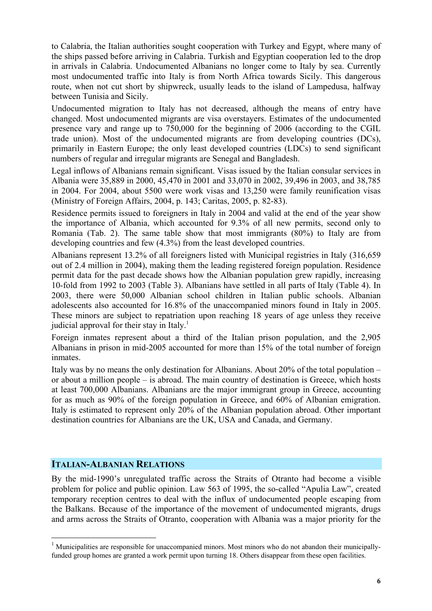to Calabria, the Italian authorities sought cooperation with Turkey and Egypt, where many of the ships passed before arriving in Calabria. Turkish and Egyptian cooperation led to the drop in arrivals in Calabria. Undocumented Albanians no longer come to Italy by sea. Currently most undocumented traffic into Italy is from North Africa towards Sicily. This dangerous route, when not cut short by shipwreck, usually leads to the island of Lampedusa, halfway between Tunisia and Sicily.

Undocumented migration to Italy has not decreased, although the means of entry have changed. Most undocumented migrants are visa overstayers. Estimates of the undocumented presence vary and range up to 750,000 for the beginning of 2006 (according to the CGIL trade union). Most of the undocumented migrants are from developing countries (DCs), primarily in Eastern Europe; the only least developed countries (LDCs) to send significant numbers of regular and irregular migrants are Senegal and Bangladesh.

Legal inflows of Albanians remain significant. Visas issued by the Italian consular services in Albania were 35,889 in 2000, 45,470 in 2001 and 33,070 in 2002, 39,496 in 2003, and 38,785 in 2004. For 2004, about 5500 were work visas and 13,250 were family reunification visas (Ministry of Foreign Affairs, 2004, p. 143; Caritas, 2005, p. 82-83).

Residence permits issued to foreigners in Italy in 2004 and valid at the end of the year show the importance of Albania, which accounted for 9.3% of all new permits, second only to Romania (Tab. 2). The same table show that most immigrants (80%) to Italy are from developing countries and few (4.3%) from the least developed countries.

Albanians represent 13.2% of all foreigners listed with Municipal registries in Italy (316,659 out of 2.4 million in 2004), making them the leading registered foreign population. Residence permit data for the past decade shows how the Albanian population grew rapidly, increasing 10-fold from 1992 to 2003 (Table 3). Albanians have settled in all parts of Italy (Table 4). In 2003, there were 50,000 Albanian school children in Italian public schools. Albanian adolescents also accounted for 16.8% of the unaccompanied minors found in Italy in 2005. These minors are subject to repatriation upon reaching 18 years of age unless they receive judicial approval for their stay in Italy.<sup>1</sup>

Foreign inmates represent about a third of the Italian prison population, and the 2,905 Albanians in prison in mid-2005 accounted for more than 15% of the total number of foreign inmates.

Italy was by no means the only destination for Albanians. About 20% of the total population – or about a million people – is abroad. The main country of destination is Greece, which hosts at least 700,000 Albanians. Albanians are the major immigrant group in Greece, accounting for as much as 90% of the foreign population in Greece, and 60% of Albanian emigration. Italy is estimated to represent only 20% of the Albanian population abroad. Other important destination countries for Albanians are the UK, USA and Canada, and Germany.

#### **ITALIAN-ALBANIAN RELATIONS**

 $\overline{a}$ 

By the mid-1990's unregulated traffic across the Straits of Otranto had become a visible problem for police and public opinion. Law 563 of 1995, the so-called "Apulia Law", created temporary reception centres to deal with the influx of undocumented people escaping from the Balkans. Because of the importance of the movement of undocumented migrants, drugs and arms across the Straits of Otranto, cooperation with Albania was a major priority for the

<sup>&</sup>lt;sup>1</sup> Municipalities are responsible for unaccompanied minors. Most minors who do not abandon their municipallyfunded group homes are granted a work permit upon turning 18. Others disappear from these open facilities.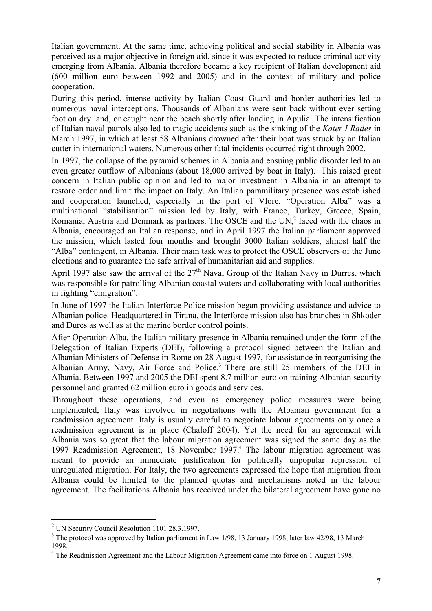Italian government. At the same time, achieving political and social stability in Albania was perceived as a major objective in foreign aid, since it was expected to reduce criminal activity emerging from Albania. Albania therefore became a key recipient of Italian development aid (600 million euro between 1992 and 2005) and in the context of military and police cooperation.

During this period, intense activity by Italian Coast Guard and border authorities led to numerous naval interceptions. Thousands of Albanians were sent back without ever setting foot on dry land, or caught near the beach shortly after landing in Apulia. The intensification of Italian naval patrols also led to tragic accidents such as the sinking of the *Kater I Rades* in March 1997, in which at least 58 Albanians drowned after their boat was struck by an Italian cutter in international waters. Numerous other fatal incidents occurred right through 2002.

In 1997, the collapse of the pyramid schemes in Albania and ensuing public disorder led to an even greater outflow of Albanians (about 18,000 arrived by boat in Italy). This raised great concern in Italian public opinion and led to major investment in Albania in an attempt to restore order and limit the impact on Italy. An Italian paramilitary presence was established and cooperation launched, especially in the port of Vlore. "Operation Alba" was a multinational "stabilisation" mission led by Italy, with France, Turkey, Greece, Spain, Romania, Austria and Denmark as partners. The OSCE and the  $UN<sub>i</sub><sup>2</sup>$  faced with the chaos in Albania, encouraged an Italian response, and in April 1997 the Italian parliament approved the mission, which lasted four months and brought 3000 Italian soldiers, almost half the "Alba" contingent, in Albania. Their main task was to protect the OSCE observers of the June elections and to guarantee the safe arrival of humanitarian aid and supplies.

April 1997 also saw the arrival of the  $27<sup>th</sup>$  Naval Group of the Italian Navy in Durres, which was responsible for patrolling Albanian coastal waters and collaborating with local authorities in fighting "emigration".

In June of 1997 the Italian Interforce Police mission began providing assistance and advice to Albanian police. Headquartered in Tirana, the Interforce mission also has branches in Shkoder and Dures as well as at the marine border control points.

After Operation Alba, the Italian military presence in Albania remained under the form of the Delegation of Italian Experts (DEI), following a protocol signed between the Italian and Albanian Ministers of Defense in Rome on 28 August 1997, for assistance in reorganising the Albanian Army, Navy, Air Force and Police.<sup>3</sup> There are still 25 members of the DEI in Albania. Between 1997 and 2005 the DEI spent 8.7 million euro on training Albanian security personnel and granted 62 million euro in goods and services.

Throughout these operations, and even as emergency police measures were being implemented, Italy was involved in negotiations with the Albanian government for a readmission agreement. Italy is usually careful to negotiate labour agreements only once a readmission agreement is in place (Chaloff 2004). Yet the need for an agreement with Albania was so great that the labour migration agreement was signed the same day as the 1997 Readmission Agreement, 18 November 1997.<sup>4</sup> The labour migration agreement was meant to provide an immediate justification for politically unpopular repression of unregulated migration. For Italy, the two agreements expressed the hope that migration from Albania could be limited to the planned quotas and mechanisms noted in the labour agreement. The facilitations Albania has received under the bilateral agreement have gone no

<sup>&</sup>lt;sup>2</sup> UN Security Council Resolution 1101 28.3.1997.

 $3$  The protocol was approved by Italian parliament in Law 1/98, 13 January 1998, later law 42/98, 13 March 1998.

<sup>&</sup>lt;sup>4</sup> The Readmission Agreement and the Labour Migration Agreement came into force on 1 August 1998.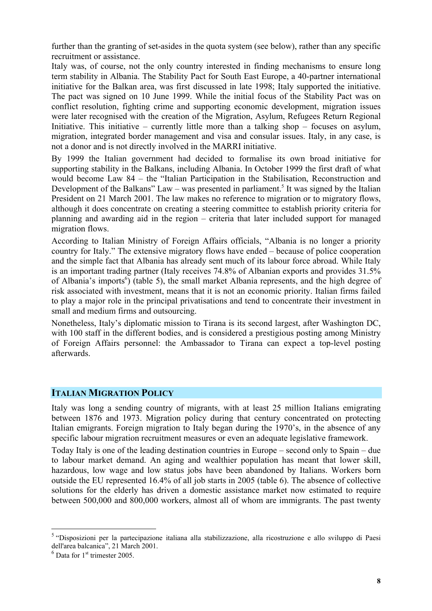further than the granting of set-asides in the quota system (see below), rather than any specific recruitment or assistance.

Italy was, of course, not the only country interested in finding mechanisms to ensure long term stability in Albania. The Stability Pact for South East Europe, a 40-partner international initiative for the Balkan area, was first discussed in late 1998; Italy supported the initiative. The pact was signed on 10 June 1999. While the initial focus of the Stability Pact was on conflict resolution, fighting crime and supporting economic development, migration issues were later recognised with the creation of the Migration, Asylum, Refugees Return Regional Initiative. This initiative – currently little more than a talking shop – focuses on asylum, migration, integrated border management and visa and consular issues. Italy, in any case, is not a donor and is not directly involved in the MARRI initiative.

By 1999 the Italian government had decided to formalise its own broad initiative for supporting stability in the Balkans, including Albania. In October 1999 the first draft of what would become Law 84 – the "Italian Participation in the Stabilisation, Reconstruction and Development of the Balkans" Law – was presented in parliament.<sup>5</sup> It was signed by the Italian President on 21 March 2001. The law makes no reference to migration or to migratory flows, although it does concentrate on creating a steering committee to establish priority criteria for planning and awarding aid in the region – criteria that later included support for managed migration flows.

According to Italian Ministry of Foreign Affairs officials, "Albania is no longer a priority country for Italy." The extensive migratory flows have ended – because of police cooperation and the simple fact that Albania has already sent much of its labour force abroad. While Italy is an important trading partner (Italy receives 74.8% of Albanian exports and provides 31.5% of Albania's imports<sup>6</sup>) (table 5), the small market Albania represents, and the high degree of risk associated with investment, means that it is not an economic priority. Italian firms failed to play a major role in the principal privatisations and tend to concentrate their investment in small and medium firms and outsourcing.

Nonetheless, Italy's diplomatic mission to Tirana is its second largest, after Washington DC, with 100 staff in the different bodies, and is considered a prestigious posting among Ministry of Foreign Affairs personnel: the Ambassador to Tirana can expect a top-level posting afterwards.

#### **ITALIAN MIGRATION POLICY**

Italy was long a sending country of migrants, with at least 25 million Italians emigrating between 1876 and 1973. Migration policy during that century concentrated on protecting Italian emigrants. Foreign migration to Italy began during the 1970's, in the absence of any specific labour migration recruitment measures or even an adequate legislative framework.

Today Italy is one of the leading destination countries in Europe – second only to Spain – due to labour market demand. An aging and wealthier population has meant that lower skill, hazardous, low wage and low status jobs have been abandoned by Italians. Workers born outside the EU represented 16.4% of all job starts in 2005 (table 6). The absence of collective solutions for the elderly has driven a domestic assistance market now estimated to require between 500,000 and 800,000 workers, almost all of whom are immigrants. The past twenty

<sup>&</sup>lt;sup>5</sup> "Disposizioni per la partecipazione italiana alla stabilizzazione, alla ricostruzione e allo sviluppo di Paesi dell'area balcanica", 21 March 2001.

 $<sup>6</sup>$  Data for 1<sup>st</sup> trimester 2005.</sup>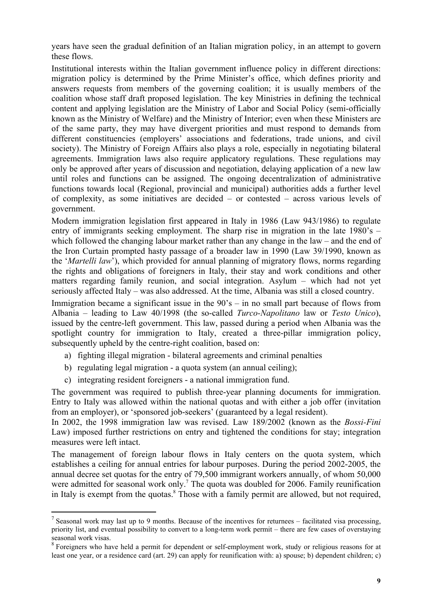years have seen the gradual definition of an Italian migration policy, in an attempt to govern these flows.

Institutional interests within the Italian government influence policy in different directions: migration policy is determined by the Prime Minister's office, which defines priority and answers requests from members of the governing coalition; it is usually members of the coalition whose staff draft proposed legislation. The key Ministries in defining the technical content and applying legislation are the Ministry of Labor and Social Policy (semi-officially known as the Ministry of Welfare) and the Ministry of Interior; even when these Ministers are of the same party, they may have divergent priorities and must respond to demands from different constituencies (employers' associations and federations, trade unions, and civil society). The Ministry of Foreign Affairs also plays a role, especially in negotiating bilateral agreements. Immigration laws also require applicatory regulations. These regulations may only be approved after years of discussion and negotiation, delaying application of a new law until roles and functions can be assigned. The ongoing decentralization of administrative functions towards local (Regional, provincial and municipal) authorities adds a further level of complexity, as some initiatives are decided – or contested – across various levels of government.

Modern immigration legislation first appeared in Italy in 1986 (Law 943/1986) to regulate entry of immigrants seeking employment. The sharp rise in migration in the late 1980's – which followed the changing labour market rather than any change in the law – and the end of the Iron Curtain prompted hasty passage of a broader law in 1990 (Law 39/1990, known as the '*Martelli law*'), which provided for annual planning of migratory flows, norms regarding the rights and obligations of foreigners in Italy, their stay and work conditions and other matters regarding family reunion, and social integration. Asylum – which had not yet seriously affected Italy – was also addressed. At the time, Albania was still a closed country.

Immigration became a significant issue in the 90's – in no small part because of flows from Albania – leading to Law 40/1998 (the so-called *Turco-Napolitano* law or *Testo Unico*), issued by the centre-left government. This law, passed during a period when Albania was the spotlight country for immigration to Italy, created a three-pillar immigration policy, subsequently upheld by the centre-right coalition, based on:

- a) fighting illegal migration bilateral agreements and criminal penalties
- b) regulating legal migration a quota system (an annual ceiling);
- c) integrating resident foreigners a national immigration fund.

 $\overline{a}$ 

The government was required to publish three-year planning documents for immigration. Entry to Italy was allowed within the national quotas and with either a job offer (invitation from an employer), or 'sponsored job-seekers' (guaranteed by a legal resident).

In 2002, the 1998 immigration law was revised. Law 189/2002 (known as the *Bossi-Fini* Law) imposed further restrictions on entry and tightened the conditions for stay; integration measures were left intact.

The management of foreign labour flows in Italy centers on the quota system, which establishes a ceiling for annual entries for labour purposes. During the period 2002-2005, the annual decree set quotas for the entry of 79,500 immigrant workers annually, of whom 50,000 were admitted for seasonal work only.<sup>7</sup> The quota was doubled for 2006. Family reunification in Italy is exempt from the quotas.<sup>8</sup> Those with a family permit are allowed, but not required,

<sup>&</sup>lt;sup>7</sup> Seasonal work may last up to 9 months. Because of the incentives for returnees – facilitated visa processing, priority list, and eventual possibility to convert to a long-term work permit – there are few cases of overstaying seasonal work visas.

<sup>&</sup>lt;sup>8</sup> Foreigners who have held a permit for dependent or self-employment work, study or religious reasons for at least one year, or a residence card (art. 29) can apply for reunification with: a) spouse; b) dependent children; c)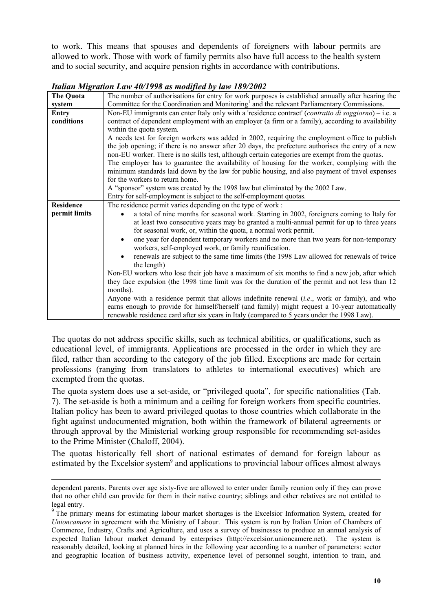to work. This means that spouses and dependents of foreigners with labour permits are allowed to work. Those with work of family permits also have full access to the health system and to social security, and acquire pension rights in accordance with contributions.

| The Quota        | The number of authorisations for entry for work purposes is established annually after hearing the            |
|------------------|---------------------------------------------------------------------------------------------------------------|
| system           | Committee for the Coordination and Monitoring <sup>1</sup> and the relevant Parliamentary Commissions.        |
| Entry            | Non-EU immigrants can enter Italy only with a 'residence contract' ( <i>contratto di soggiorno</i> ) – i.e. a |
| conditions       | contract of dependent employment with an employer (a firm or a family), according to availability             |
|                  | within the quota system.                                                                                      |
|                  | A needs test for foreign workers was added in 2002, requiring the employment office to publish                |
|                  | the job opening; if there is no answer after 20 days, the prefecture authorises the entry of a new            |
|                  | non-EU worker. There is no skills test, although certain categories are exempt from the quotas.               |
|                  | The employer has to guarantee the availability of housing for the worker, complying with the                  |
|                  | minimum standards laid down by the law for public housing, and also payment of travel expenses                |
|                  | for the workers to return home.                                                                               |
|                  | A "sponsor" system was created by the 1998 law but eliminated by the 2002 Law.                                |
|                  | Entry for self-employment is subject to the self-employment quotas.                                           |
| <b>Residence</b> | The residence permit varies depending on the type of work:                                                    |
| permit limits    | a total of nine months for seasonal work. Starting in 2002, foreigners coming to Italy for                    |
|                  | at least two consecutive years may be granted a multi-annual permit for up to three years                     |
|                  | for seasonal work, or, within the quota, a normal work permit.                                                |
|                  | one year for dependent temporary workers and no more than two years for non-temporary                         |
|                  | workers, self-employed work, or family reunification.                                                         |
|                  | renewals are subject to the same time limits (the 1998 Law allowed for renewals of twice                      |
|                  | the length)                                                                                                   |
|                  | Non-EU workers who lose their job have a maximum of six months to find a new job, after which                 |
|                  | they face expulsion (the 1998 time limit was for the duration of the permit and not less than 12              |
|                  | months).                                                                                                      |
|                  | Anyone with a residence permit that allows indefinite renewal (i.e., work or family), and who                 |
|                  | earns enough to provide for himself/herself (and family) might request a 10-year automatically                |
|                  | renewable residence card after six years in Italy (compared to 5 years under the 1998 Law).                   |

#### *Italian Migration Law 40/1998 as modified by law 189/2002*

The quotas do not address specific skills, such as technical abilities, or qualifications, such as educational level, of immigrants. Applications are processed in the order in which they are filed, rather than according to the category of the job filled. Exceptions are made for certain professions (ranging from translators to athletes to international executives) which are exempted from the quotas.

The quota system does use a set-aside, or "privileged quota", for specific nationalities (Tab. 7). The set-aside is both a minimum and a ceiling for foreign workers from specific countries. Italian policy has been to award privileged quotas to those countries which collaborate in the fight against undocumented migration, both within the framework of bilateral agreements or through approval by the Ministerial working group responsible for recommending set-asides to the Prime Minister (Chaloff, 2004).

The quotas historically fell short of national estimates of demand for foreign labour as estimated by the Excelsior system<sup>9</sup> and applications to provincial labour offices almost always

dependent parents. Parents over age sixty-five are allowed to enter under family reunion only if they can prove that no other child can provide for them in their native country; siblings and other relatives are not entitled to legal entry.

<sup>&</sup>lt;sup>9</sup> The primary means for estimating labour market shortages is the Excelsior Information System, created for *Unioncamere* in agreement with the Ministry of Labour. This system is run by Italian Union of Chambers of Commerce, Industry, Crafts and Agriculture, and uses a survey of businesses to produce an annual analysis of expected Italian labour market demand by enterprises (http://excelsior.unioncamere.net). The system is reasonably detailed, looking at planned hires in the following year according to a number of parameters: sector and geographic location of business activity, experience level of personnel sought, intention to train, and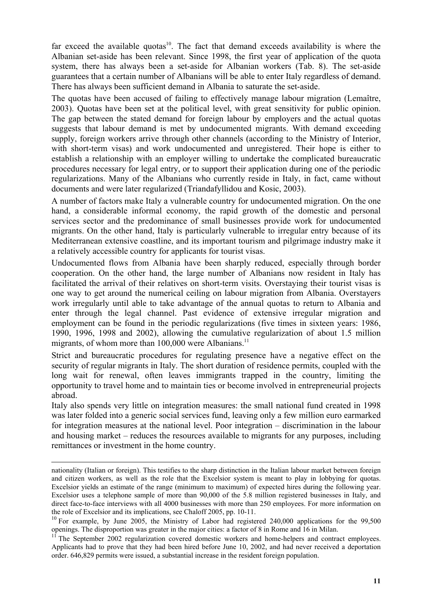far exceed the available quotas<sup>10</sup>. The fact that demand exceeds availability is where the Albanian set-aside has been relevant. Since 1998, the first year of application of the quota system, there has always been a set-aside for Albanian workers (Tab. 8). The set-aside guarantees that a certain number of Albanians will be able to enter Italy regardless of demand. There has always been sufficient demand in Albania to saturate the set-aside.

The quotas have been accused of failing to effectively manage labour migration (Lemaître, 2003). Quotas have been set at the political level, with great sensitivity for public opinion. The gap between the stated demand for foreign labour by employers and the actual quotas suggests that labour demand is met by undocumented migrants. With demand exceeding supply, foreign workers arrive through other channels (according to the Ministry of Interior, with short-term visas) and work undocumented and unregistered. Their hope is either to establish a relationship with an employer willing to undertake the complicated bureaucratic procedures necessary for legal entry, or to support their application during one of the periodic regularizations. Many of the Albanians who currently reside in Italy, in fact, came without documents and were later regularized (Triandafyllidou and Kosic, 2003).

A number of factors make Italy a vulnerable country for undocumented migration. On the one hand, a considerable informal economy, the rapid growth of the domestic and personal services sector and the predominance of small businesses provide work for undocumented migrants. On the other hand, Italy is particularly vulnerable to irregular entry because of its Mediterranean extensive coastline, and its important tourism and pilgrimage industry make it a relatively accessible country for applicants for tourist visas.

Undocumented flows from Albania have been sharply reduced, especially through border cooperation. On the other hand, the large number of Albanians now resident in Italy has facilitated the arrival of their relatives on short-term visits. Overstaying their tourist visas is one way to get around the numerical ceiling on labour migration from Albania. Overstayers work irregularly until able to take advantage of the annual quotas to return to Albania and enter through the legal channel. Past evidence of extensive irregular migration and employment can be found in the periodic regularizations (five times in sixteen years: 1986, 1990, 1996, 1998 and 2002), allowing the cumulative regularization of about 1.5 million migrants, of whom more than  $100,000$  were Albanians.<sup>11</sup>

Strict and bureaucratic procedures for regulating presence have a negative effect on the security of regular migrants in Italy. The short duration of residence permits, coupled with the long wait for renewal, often leaves immigrants trapped in the country, limiting the opportunity to travel home and to maintain ties or become involved in entrepreneurial projects abroad.

Italy also spends very little on integration measures: the small national fund created in 1998 was later folded into a generic social services fund, leaving only a few million euro earmarked for integration measures at the national level. Poor integration – discrimination in the labour and housing market – reduces the resources available to migrants for any purposes, including remittances or investment in the home country.

nationality (Italian or foreign). This testifies to the sharp distinction in the Italian labour market between foreign and citizen workers, as well as the role that the Excelsior system is meant to play in lobbying for quotas. Excelsior yields an estimate of the range (minimum to maximum) of expected hires during the following year. Excelsior uses a telephone sample of more than 90,000 of the 5.8 million registered businesses in Italy, and direct face-to-face interviews with all 4000 businesses with more than 250 employees. For more information on the role of Excelsior and its implications, see Chaloff 2005, pp. 10-11.

<sup>&</sup>lt;sup>10</sup> For example, by June 2005, the Ministry of Labor had registered 240,000 applications for the 99,500 openings. The disproportion was greater in the major cities: a factor of 8 in Rome and 16 in Milan.

 $11$  The September 2002 regularization covered domestic workers and home-helpers and contract employees. Applicants had to prove that they had been hired before June 10, 2002, and had never received a deportation order. 646,829 permits were issued, a substantial increase in the resident foreign population.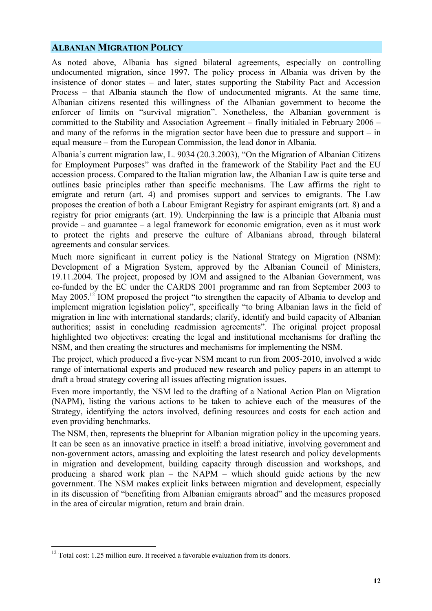#### **ALBANIAN MIGRATION POLICY**

As noted above, Albania has signed bilateral agreements, especially on controlling undocumented migration, since 1997. The policy process in Albania was driven by the insistence of donor states – and later, states supporting the Stability Pact and Accession Process – that Albania staunch the flow of undocumented migrants. At the same time, Albanian citizens resented this willingness of the Albanian government to become the enforcer of limits on "survival migration". Nonetheless, the Albanian government is committed to the Stability and Association Agreement – finally initialed in February 2006 – and many of the reforms in the migration sector have been due to pressure and support – in equal measure – from the European Commission, the lead donor in Albania.

Albania's current migration law, L. 9034 (20.3.2003), "On the Migration of Albanian Citizens for Employment Purposes" was drafted in the framework of the Stability Pact and the EU accession process. Compared to the Italian migration law, the Albanian Law is quite terse and outlines basic principles rather than specific mechanisms. The Law affirms the right to emigrate and return (art. 4) and promises support and services to emigrants. The Law proposes the creation of both a Labour Emigrant Registry for aspirant emigrants (art. 8) and a registry for prior emigrants (art. 19). Underpinning the law is a principle that Albania must provide – and guarantee – a legal framework for economic emigration, even as it must work to protect the rights and preserve the culture of Albanians abroad, through bilateral agreements and consular services.

Much more significant in current policy is the National Strategy on Migration (NSM): Development of a Migration System, approved by the Albanian Council of Ministers, 19.11.2004. The project, proposed by IOM and assigned to the Albanian Government, was co-funded by the EC under the CARDS 2001 programme and ran from September 2003 to May 2005.<sup>12</sup> IOM proposed the project "to strengthen the capacity of Albania to develop and implement migration legislation policy", specifically "to bring Albanian laws in the field of migration in line with international standards; clarify, identify and build capacity of Albanian authorities; assist in concluding readmission agreements". The original project proposal highlighted two objectives: creating the legal and institutional mechanisms for drafting the NSM, and then creating the structures and mechanisms for implementing the NSM.

The project, which produced a five-year NSM meant to run from 2005-2010, involved a wide range of international experts and produced new research and policy papers in an attempt to draft a broad strategy covering all issues affecting migration issues.

Even more importantly, the NSM led to the drafting of a National Action Plan on Migration (NAPM), listing the various actions to be taken to achieve each of the measures of the Strategy, identifying the actors involved, defining resources and costs for each action and even providing benchmarks.

The NSM, then, represents the blueprint for Albanian migration policy in the upcoming years. It can be seen as an innovative practice in itself: a broad initiative, involving government and non-government actors, amassing and exploiting the latest research and policy developments in migration and development, building capacity through discussion and workshops, and producing a shared work plan – the NAPM – which should guide actions by the new government. The NSM makes explicit links between migration and development, especially in its discussion of "benefiting from Albanian emigrants abroad" and the measures proposed in the area of circular migration, return and brain drain.

 $12$  Total cost: 1.25 million euro. It received a favorable evaluation from its donors.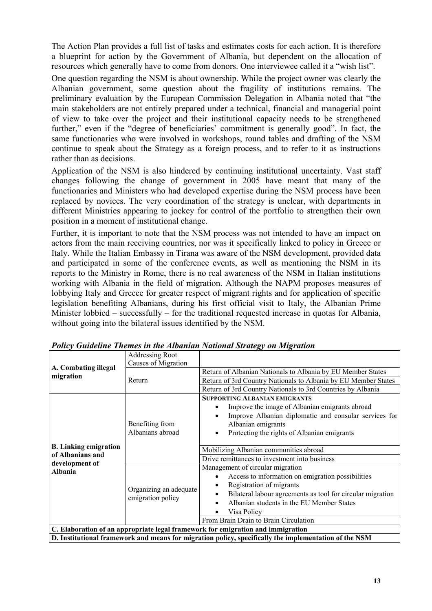The Action Plan provides a full list of tasks and estimates costs for each action. It is therefore a blueprint for action by the Government of Albania, but dependent on the allocation of resources which generally have to come from donors. One interviewee called it a "wish list".

One question regarding the NSM is about ownership. While the project owner was clearly the Albanian government, some question about the fragility of institutions remains. The preliminary evaluation by the European Commission Delegation in Albania noted that "the main stakeholders are not entirely prepared under a technical, financial and managerial point of view to take over the project and their institutional capacity needs to be strengthened further," even if the "degree of beneficiaries' commitment is generally good". In fact, the same functionaries who were involved in workshops, round tables and drafting of the NSM continue to speak about the Strategy as a foreign process, and to refer to it as instructions rather than as decisions.

Application of the NSM is also hindered by continuing institutional uncertainty. Vast staff changes following the change of government in 2005 have meant that many of the functionaries and Ministers who had developed expertise during the NSM process have been replaced by novices. The very coordination of the strategy is unclear, with departments in different Ministries appearing to jockey for control of the portfolio to strengthen their own position in a moment of institutional change.

Further, it is important to note that the NSM process was not intended to have an impact on actors from the main receiving countries, nor was it specifically linked to policy in Greece or Italy. While the Italian Embassy in Tirana was aware of the NSM development, provided data and participated in some of the conference events, as well as mentioning the NSM in its reports to the Ministry in Rome, there is no real awareness of the NSM in Italian institutions working with Albania in the field of migration. Although the NAPM proposes measures of lobbying Italy and Greece for greater respect of migrant rights and for application of specific legislation benefiting Albanians, during his first official visit to Italy, the Albanian Prime Minister lobbied – successfully – for the traditional requested increase in quotas for Albania, without going into the bilateral issues identified by the NSM.

|                              | <b>Addressing Root</b><br>Causes of Migration |                                                                                                                                                                                          |  |  |  |  |
|------------------------------|-----------------------------------------------|------------------------------------------------------------------------------------------------------------------------------------------------------------------------------------------|--|--|--|--|
| A. Combating illegal         |                                               | Return of Albanian Nationals to Albania by EU Member States                                                                                                                              |  |  |  |  |
| migration                    | Return                                        | Return of 3rd Country Nationals to Albania by EU Member States                                                                                                                           |  |  |  |  |
|                              |                                               | Return of 3rd Country Nationals to 3rd Countries by Albania                                                                                                                              |  |  |  |  |
|                              |                                               | <b>SUPPORTING ALBANIAN EMIGRANTS</b>                                                                                                                                                     |  |  |  |  |
|                              |                                               | Improve the image of Albanian emigrants abroad                                                                                                                                           |  |  |  |  |
|                              |                                               | Improve Albanian diplomatic and consular services for                                                                                                                                    |  |  |  |  |
|                              | Benefiting from                               | Albanian emigrants                                                                                                                                                                       |  |  |  |  |
| <b>B.</b> Linking emigration | Albanians abroad                              | Protecting the rights of Albanian emigrants<br>$\bullet$                                                                                                                                 |  |  |  |  |
|                              |                                               |                                                                                                                                                                                          |  |  |  |  |
|                              |                                               | Mobilizing Albanian communities abroad                                                                                                                                                   |  |  |  |  |
| of Albanians and             |                                               | Drive remittances to investment into business                                                                                                                                            |  |  |  |  |
|                              |                                               |                                                                                                                                                                                          |  |  |  |  |
| development of               |                                               | Management of circular migration                                                                                                                                                         |  |  |  |  |
| Albania                      |                                               | Access to information on emigration possibilities                                                                                                                                        |  |  |  |  |
|                              |                                               | Registration of migrants                                                                                                                                                                 |  |  |  |  |
|                              | Organizing an adequate                        | Bilateral labour agreements as tool for circular migration                                                                                                                               |  |  |  |  |
|                              | emigration policy                             | Albanian students in the EU Member States                                                                                                                                                |  |  |  |  |
|                              |                                               | Visa Policy                                                                                                                                                                              |  |  |  |  |
|                              |                                               | From Brain Drain to Brain Circulation                                                                                                                                                    |  |  |  |  |
|                              |                                               | C. Elaboration of an appropriate legal framework for emigration and immigration<br>D. Institutional framework and means for migration policy, specifically the implementation of the NSM |  |  |  |  |

*Policy Guideline Themes in the Albanian National Strategy on Migration*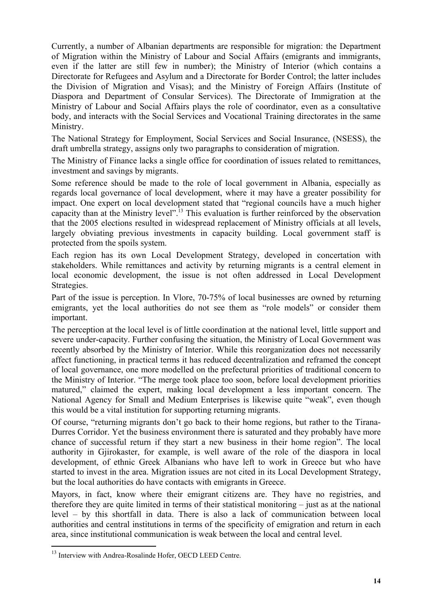Currently, a number of Albanian departments are responsible for migration: the Department of Migration within the Ministry of Labour and Social Affairs (emigrants and immigrants, even if the latter are still few in number); the Ministry of Interior (which contains a Directorate for Refugees and Asylum and a Directorate for Border Control; the latter includes the Division of Migration and Visas); and the Ministry of Foreign Affairs (Institute of Diaspora and Department of Consular Services). The Directorate of Immigration at the Ministry of Labour and Social Affairs plays the role of coordinator, even as a consultative body, and interacts with the Social Services and Vocational Training directorates in the same Ministry.

The National Strategy for Employment, Social Services and Social Insurance, (NSESS), the draft umbrella strategy, assigns only two paragraphs to consideration of migration.

The Ministry of Finance lacks a single office for coordination of issues related to remittances, investment and savings by migrants.

Some reference should be made to the role of local government in Albania, especially as regards local governance of local development, where it may have a greater possibility for impact. One expert on local development stated that "regional councils have a much higher capacity than at the Ministry level".13 This evaluation is further reinforced by the observation that the 2005 elections resulted in widespread replacement of Ministry officials at all levels, largely obviating previous investments in capacity building. Local government staff is protected from the spoils system.

Each region has its own Local Development Strategy, developed in concertation with stakeholders. While remittances and activity by returning migrants is a central element in local economic development, the issue is not often addressed in Local Development Strategies.

Part of the issue is perception. In Vlore, 70-75% of local businesses are owned by returning emigrants, yet the local authorities do not see them as "role models" or consider them important.

The perception at the local level is of little coordination at the national level, little support and severe under-capacity. Further confusing the situation, the Ministry of Local Government was recently absorbed by the Ministry of Interior. While this reorganization does not necessarily affect functioning, in practical terms it has reduced decentralization and reframed the concept of local governance, one more modelled on the prefectural priorities of traditional concern to the Ministry of Interior. "The merge took place too soon, before local development priorities matured," claimed the expert, making local development a less important concern. The National Agency for Small and Medium Enterprises is likewise quite "weak", even though this would be a vital institution for supporting returning migrants.

Of course, "returning migrants don't go back to their home regions, but rather to the Tirana-Durres Corridor. Yet the business environment there is saturated and they probably have more chance of successful return if they start a new business in their home region". The local authority in Gjirokaster, for example, is well aware of the role of the diaspora in local development, of ethnic Greek Albanians who have left to work in Greece but who have started to invest in the area. Migration issues are not cited in its Local Development Strategy, but the local authorities do have contacts with emigrants in Greece.

Mayors, in fact, know where their emigrant citizens are. They have no registries, and therefore they are quite limited in terms of their statistical monitoring – just as at the national level – by this shortfall in data. There is also a lack of communication between local authorities and central institutions in terms of the specificity of emigration and return in each area, since institutional communication is weak between the local and central level.

<sup>&</sup>lt;sup>13</sup> Interview with Andrea-Rosalinde Hofer, OECD LEED Centre.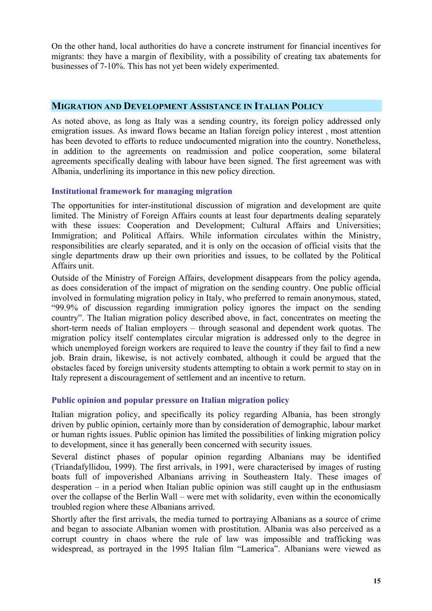On the other hand, local authorities do have a concrete instrument for financial incentives for migrants: they have a margin of flexibility, with a possibility of creating tax abatements for businesses of 7-10%. This has not yet been widely experimented.

#### **MIGRATION AND DEVELOPMENT ASSISTANCE IN ITALIAN POLICY**

As noted above, as long as Italy was a sending country, its foreign policy addressed only emigration issues. As inward flows became an Italian foreign policy interest , most attention has been devoted to efforts to reduce undocumented migration into the country. Nonetheless, in addition to the agreements on readmission and police cooperation, some bilateral agreements specifically dealing with labour have been signed. The first agreement was with Albania, underlining its importance in this new policy direction.

#### **Institutional framework for managing migration**

The opportunities for inter-institutional discussion of migration and development are quite limited. The Ministry of Foreign Affairs counts at least four departments dealing separately with these issues: Cooperation and Development; Cultural Affairs and Universities; Immigration; and Political Affairs. While information circulates within the Ministry, responsibilities are clearly separated, and it is only on the occasion of official visits that the single departments draw up their own priorities and issues, to be collated by the Political Affairs unit.

Outside of the Ministry of Foreign Affairs, development disappears from the policy agenda, as does consideration of the impact of migration on the sending country. One public official involved in formulating migration policy in Italy, who preferred to remain anonymous, stated, "99.9% of discussion regarding immigration policy ignores the impact on the sending country". The Italian migration policy described above, in fact, concentrates on meeting the short-term needs of Italian employers – through seasonal and dependent work quotas. The migration policy itself contemplates circular migration is addressed only to the degree in which unemployed foreign workers are required to leave the country if they fail to find a new job. Brain drain, likewise, is not actively combated, although it could be argued that the obstacles faced by foreign university students attempting to obtain a work permit to stay on in Italy represent a discouragement of settlement and an incentive to return.

#### **Public opinion and popular pressure on Italian migration policy**

Italian migration policy, and specifically its policy regarding Albania, has been strongly driven by public opinion, certainly more than by consideration of demographic, labour market or human rights issues. Public opinion has limited the possibilities of linking migration policy to development, since it has generally been concerned with security issues.

Several distinct phases of popular opinion regarding Albanians may be identified (Triandafyllidou, 1999). The first arrivals, in 1991, were characterised by images of rusting boats full of impoverished Albanians arriving in Southeastern Italy. These images of desperation – in a period when Italian public opinion was still caught up in the enthusiasm over the collapse of the Berlin Wall – were met with solidarity, even within the economically troubled region where these Albanians arrived.

Shortly after the first arrivals, the media turned to portraying Albanians as a source of crime and began to associate Albanian women with prostitution. Albania was also perceived as a corrupt country in chaos where the rule of law was impossible and trafficking was widespread, as portrayed in the 1995 Italian film "Lamerica". Albanians were viewed as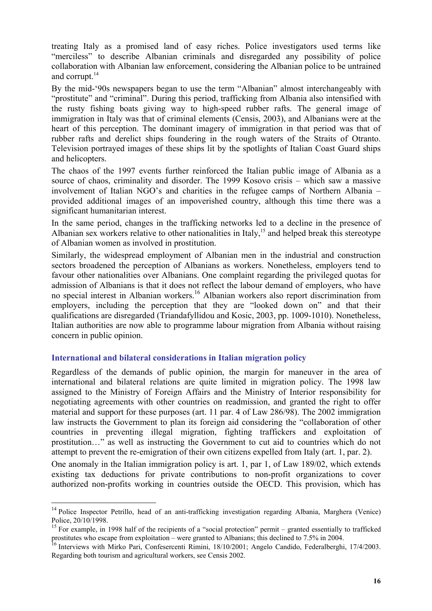treating Italy as a promised land of easy riches. Police investigators used terms like "merciless" to describe Albanian criminals and disregarded any possibility of police collaboration with Albanian law enforcement, considering the Albanian police to be untrained and corrupt.<sup>14</sup>

By the mid-'90s newspapers began to use the term "Albanian" almost interchangeably with "prostitute" and "criminal". During this period, trafficking from Albania also intensified with the rusty fishing boats giving way to high-speed rubber rafts. The general image of immigration in Italy was that of criminal elements (Censis, 2003), and Albanians were at the heart of this perception. The dominant imagery of immigration in that period was that of rubber rafts and derelict ships foundering in the rough waters of the Straits of Otranto. Television portrayed images of these ships lit by the spotlights of Italian Coast Guard ships and helicopters.

The chaos of the 1997 events further reinforced the Italian public image of Albania as a source of chaos, criminality and disorder. The 1999 Kosovo crisis – which saw a massive involvement of Italian NGO's and charities in the refugee camps of Northern Albania – provided additional images of an impoverished country, although this time there was a significant humanitarian interest.

In the same period, changes in the trafficking networks led to a decline in the presence of Albanian sex workers relative to other nationalities in Italy,<sup>15</sup> and helped break this stereotype of Albanian women as involved in prostitution.

Similarly, the widespread employment of Albanian men in the industrial and construction sectors broadened the perception of Albanians as workers. Nonetheless, employers tend to favour other nationalities over Albanians. One complaint regarding the privileged quotas for admission of Albanians is that it does not reflect the labour demand of employers, who have no special interest in Albanian workers.16 Albanian workers also report discrimination from employers, including the perception that they are "looked down on" and that their qualifications are disregarded (Triandafyllidou and Kosic, 2003, pp. 1009-1010). Nonetheless, Italian authorities are now able to programme labour migration from Albania without raising concern in public opinion.

#### **International and bilateral considerations in Italian migration policy**

 $\overline{a}$ 

Regardless of the demands of public opinion, the margin for maneuver in the area of international and bilateral relations are quite limited in migration policy. The 1998 law assigned to the Ministry of Foreign Affairs and the Ministry of Interior responsibility for negotiating agreements with other countries on readmission, and granted the right to offer material and support for these purposes (art. 11 par. 4 of Law 286/98). The 2002 immigration law instructs the Government to plan its foreign aid considering the "collaboration of other countries in preventing illegal migration, fighting traffickers and exploitation of prostitution…" as well as instructing the Government to cut aid to countries which do not attempt to prevent the re-emigration of their own citizens expelled from Italy (art. 1, par. 2).

One anomaly in the Italian immigration policy is art. 1, par 1, of Law 189/02, which extends existing tax deductions for private contributions to non-profit organizations to cover authorized non-profits working in countries outside the OECD. This provision, which has

<sup>&</sup>lt;sup>14</sup> Police Inspector Petrillo, head of an anti-trafficking investigation regarding Albania, Marghera (Venice) Police, 20/10/1998.

<sup>&</sup>lt;sup>15</sup> For example, in 1998 half of the recipients of a "social protection" permit – granted essentially to trafficked prostitutes who escape from exploitation – were granted to Albanians; this declined to 7.5% in 2004.

<sup>&</sup>lt;sup>16</sup> Interviews with Mirko Pari, Confesercenti Rimini, 18/10/2001; Angelo Candido, Federalberghi, 17/4/2003. Regarding both tourism and agricultural workers, see Censis 2002.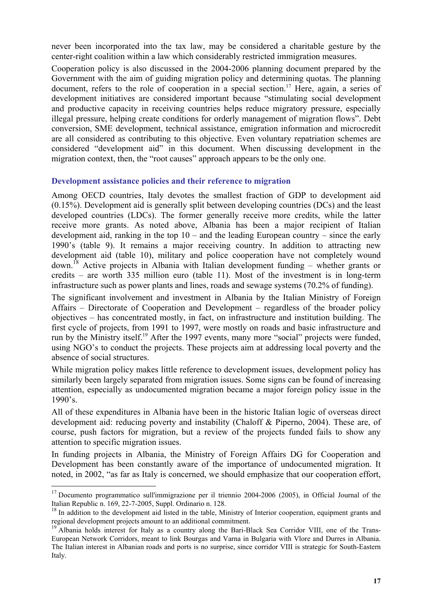never been incorporated into the tax law, may be considered a charitable gesture by the center-right coalition within a law which considerably restricted immigration measures.

Cooperation policy is also discussed in the 2004-2006 planning document prepared by the Government with the aim of guiding migration policy and determining quotas. The planning document, refers to the role of cooperation in a special section.<sup>17</sup> Here, again, a series of development initiatives are considered important because "stimulating social development and productive capacity in receiving countries helps reduce migratory pressure, especially illegal pressure, helping create conditions for orderly management of migration flows". Debt conversion, SME development, technical assistance, emigration information and microcredit are all considered as contributing to this objective. Even voluntary repatriation schemes are considered "development aid" in this document. When discussing development in the migration context, then, the "root causes" approach appears to be the only one.

#### **Development assistance policies and their reference to migration**

Among OECD countries, Italy devotes the smallest fraction of GDP to development aid (0.15%). Development aid is generally split between developing countries (DCs) and the least developed countries (LDCs). The former generally receive more credits, while the latter receive more grants. As noted above, Albania has been a major recipient of Italian development aid, ranking in the top 10 – and the leading European country – since the early 1990's (table 9). It remains a major receiving country. In addition to attracting new development aid (table 10), military and police cooperation have not completely wound down.<sup>18</sup> Active projects in Albania with Italian development funding – whether grants or credits – are worth 335 million euro (table 11). Most of the investment is in long-term infrastructure such as power plants and lines, roads and sewage systems (70.2% of funding).

The significant involvement and investment in Albania by the Italian Ministry of Foreign Affairs – Directorate of Cooperation and Development – regardless of the broader policy objectives – has concentrated mostly, in fact, on infrastructure and institution building. The first cycle of projects, from 1991 to 1997, were mostly on roads and basic infrastructure and run by the Ministry itself.<sup>19</sup> After the 1997 events, many more "social" projects were funded, using NGO's to conduct the projects. These projects aim at addressing local poverty and the absence of social structures.

While migration policy makes little reference to development issues, development policy has similarly been largely separated from migration issues. Some signs can be found of increasing attention, especially as undocumented migration became a major foreign policy issue in the 1990's.

All of these expenditures in Albania have been in the historic Italian logic of overseas direct development aid: reducing poverty and instability (Chaloff & Piperno, 2004). These are, of course, push factors for migration, but a review of the projects funded fails to show any attention to specific migration issues.

In funding projects in Albania, the Ministry of Foreign Affairs DG for Cooperation and Development has been constantly aware of the importance of undocumented migration. It noted, in 2002, "as far as Italy is concerned, we should emphasize that our cooperation effort,

<sup>&</sup>lt;sup>17</sup> Documento programmatico sull'immigrazione per il triennio 2004-2006 (2005), in Official Journal of the Italian Republic n. 169, 22-7-2005, Suppl. Ordinario n. 128.

 $18$  In addition to the development aid listed in the table, Ministry of Interior cooperation, equipment grants and regional development projects amount to an additional commitment.

<sup>&</sup>lt;sup>19</sup> Albania holds interest for Italy as a country along the Bari-Black Sea Corridor VIII, one of the Trans-European Network Corridors, meant to link Bourgas and Varna in Bulgaria with Vlore and Durres in Albania. The Italian interest in Albanian roads and ports is no surprise, since corridor VIII is strategic for South-Eastern Italy.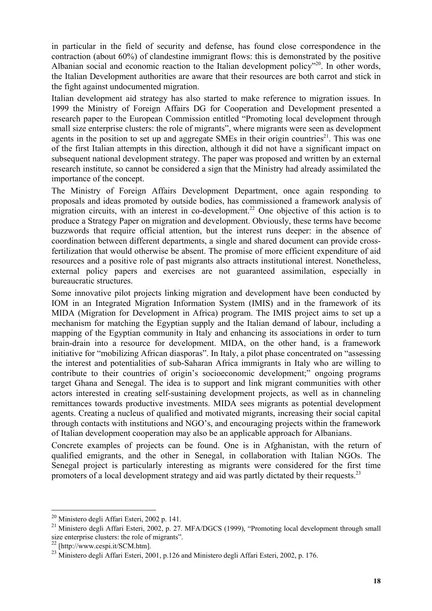in particular in the field of security and defense, has found close correspondence in the contraction (about 60%) of clandestine immigrant flows: this is demonstrated by the positive Albanian social and economic reaction to the Italian development policy"<sup>20</sup>. In other words, the Italian Development authorities are aware that their resources are both carrot and stick in the fight against undocumented migration.

Italian development aid strategy has also started to make reference to migration issues. In 1999 the Ministry of Foreign Affairs DG for Cooperation and Development presented a research paper to the European Commission entitled "Promoting local development through small size enterprise clusters: the role of migrants", where migrants were seen as development agents in the position to set up and aggregate SMEs in their origin countries<sup>21</sup>. This was one of the first Italian attempts in this direction, although it did not have a significant impact on subsequent national development strategy. The paper was proposed and written by an external research institute, so cannot be considered a sign that the Ministry had already assimilated the importance of the concept.

The Ministry of Foreign Affairs Development Department, once again responding to proposals and ideas promoted by outside bodies, has commissioned a framework analysis of migration circuits, with an interest in co-development.<sup>22</sup> One objective of this action is to produce a Strategy Paper on migration and development. Obviously, these terms have become buzzwords that require official attention, but the interest runs deeper: in the absence of coordination between different departments, a single and shared document can provide crossfertilization that would otherwise be absent. The promise of more efficient expenditure of aid resources and a positive role of past migrants also attracts institutional interest. Nonetheless, external policy papers and exercises are not guaranteed assimilation, especially in bureaucratic structures.

Some innovative pilot projects linking migration and development have been conducted by IOM in an Integrated Migration Information System (IMIS) and in the framework of its MIDA (Migration for Development in Africa) program. The IMIS project aims to set up a mechanism for matching the Egyptian supply and the Italian demand of labour, including a mapping of the Egyptian community in Italy and enhancing its associations in order to turn brain-drain into a resource for development. MIDA, on the other hand, is a framework initiative for "mobilizing African diasporas". In Italy, a pilot phase concentrated on "assessing the interest and potentialities of sub-Saharan Africa immigrants in Italy who are willing to contribute to their countries of origin's socioeconomic development;" ongoing programs target Ghana and Senegal. The idea is to support and link migrant communities with other actors interested in creating self-sustaining development projects, as well as in channeling remittances towards productive investments. MIDA sees migrants as potential development agents. Creating a nucleus of qualified and motivated migrants, increasing their social capital through contacts with institutions and NGO's, and encouraging projects within the framework of Italian development cooperation may also be an applicable approach for Albanians.

Concrete examples of projects can be found. One is in Afghanistan, with the return of qualified emigrants, and the other in Senegal, in collaboration with Italian NGOs. The Senegal project is particularly interesting as migrants were considered for the first time promoters of a local development strategy and aid was partly dictated by their requests.<sup>23</sup>

<sup>&</sup>lt;sup>20</sup> Ministero degli Affari Esteri, 2002 p. 141.

<sup>&</sup>lt;sup>21</sup> Ministero degli Affari Esteri, 2002, p. 27. MFA/DGCS (1999), "Promoting local development through small size enterprise clusters: the role of migrants".

<sup>22 [</sup>http://www.cespi.it/SCM.htm].

<sup>&</sup>lt;sup>23</sup> Ministero degli Affari Esteri, 2001, p.126 and Ministero degli Affari Esteri, 2002, p. 176.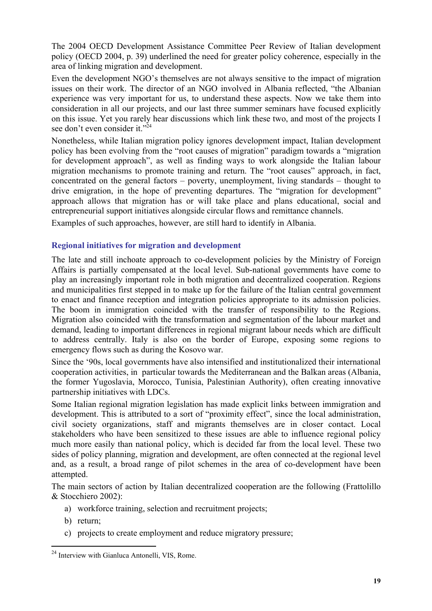The 2004 OECD Development Assistance Committee Peer Review of Italian development policy (OECD 2004, p. 39) underlined the need for greater policy coherence, especially in the area of linking migration and development.

Even the development NGO's themselves are not always sensitive to the impact of migration issues on their work. The director of an NGO involved in Albania reflected, "the Albanian experience was very important for us, to understand these aspects. Now we take them into consideration in all our projects, and our last three summer seminars have focused explicitly on this issue. Yet you rarely hear discussions which link these two, and most of the projects I see don't even consider it."<sup>24</sup>

Nonetheless, while Italian migration policy ignores development impact, Italian development policy has been evolving from the "root causes of migration" paradigm towards a "migration for development approach", as well as finding ways to work alongside the Italian labour migration mechanisms to promote training and return. The "root causes" approach, in fact, concentrated on the general factors – poverty, unemployment, living standards – thought to drive emigration, in the hope of preventing departures. The "migration for development" approach allows that migration has or will take place and plans educational, social and entrepreneurial support initiatives alongside circular flows and remittance channels.

Examples of such approaches, however, are still hard to identify in Albania.

#### **Regional initiatives for migration and development**

The late and still inchoate approach to co-development policies by the Ministry of Foreign Affairs is partially compensated at the local level. Sub-national governments have come to play an increasingly important role in both migration and decentralized cooperation. Regions and municipalities first stepped in to make up for the failure of the Italian central government to enact and finance reception and integration policies appropriate to its admission policies. The boom in immigration coincided with the transfer of responsibility to the Regions. Migration also coincided with the transformation and segmentation of the labour market and demand, leading to important differences in regional migrant labour needs which are difficult to address centrally. Italy is also on the border of Europe, exposing some regions to emergency flows such as during the Kosovo war.

Since the '90s, local governments have also intensified and institutionalized their international cooperation activities, in particular towards the Mediterranean and the Balkan areas (Albania, the former Yugoslavia, Morocco, Tunisia, Palestinian Authority), often creating innovative partnership initiatives with LDCs.

Some Italian regional migration legislation has made explicit links between immigration and development. This is attributed to a sort of "proximity effect", since the local administration, civil society organizations, staff and migrants themselves are in closer contact. Local stakeholders who have been sensitized to these issues are able to influence regional policy much more easily than national policy, which is decided far from the local level. These two sides of policy planning, migration and development, are often connected at the regional level and, as a result, a broad range of pilot schemes in the area of co-development have been attempted.

The main sectors of action by Italian decentralized cooperation are the following (Frattolillo & Stocchiero 2002):

- a) workforce training, selection and recruitment projects;
- b) return;

 $\overline{a}$ 

c) projects to create employment and reduce migratory pressure;

<sup>&</sup>lt;sup>24</sup> Interview with Gianluca Antonelli, VIS, Rome.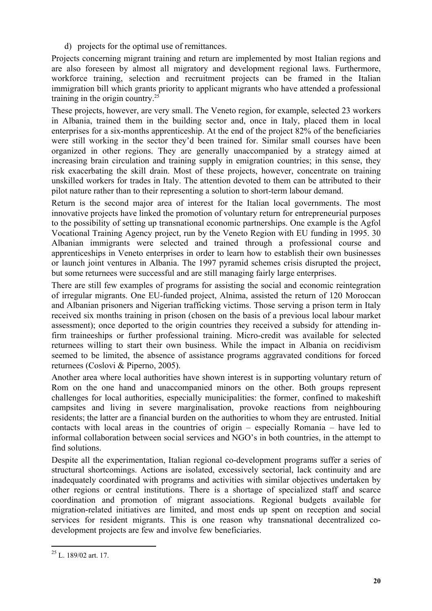d) projects for the optimal use of remittances.

Projects concerning migrant training and return are implemented by most Italian regions and are also foreseen by almost all migratory and development regional laws. Furthermore, workforce training, selection and recruitment projects can be framed in the Italian immigration bill which grants priority to applicant migrants who have attended a professional training in the origin country. $^{25}$ 

These projects, however, are very small. The Veneto region, for example, selected 23 workers in Albania, trained them in the building sector and, once in Italy, placed them in local enterprises for a six-months apprenticeship. At the end of the project 82% of the beneficiaries were still working in the sector they'd been trained for. Similar small courses have been organized in other regions. They are generally unaccompanied by a strategy aimed at increasing brain circulation and training supply in emigration countries; in this sense, they risk exacerbating the skill drain. Most of these projects, however, concentrate on training unskilled workers for trades in Italy. The attention devoted to them can be attributed to their pilot nature rather than to their representing a solution to short-term labour demand.

Return is the second major area of interest for the Italian local governments. The most innovative projects have linked the promotion of voluntary return for entrepreneurial purposes to the possibility of setting up transnational economic partnerships. One example is the Agfol Vocational Training Agency project, run by the Veneto Region with EU funding in 1995. 30 Albanian immigrants were selected and trained through a professional course and apprenticeships in Veneto enterprises in order to learn how to establish their own businesses or launch joint ventures in Albania. The 1997 pyramid schemes crisis disrupted the project, but some returnees were successful and are still managing fairly large enterprises.

There are still few examples of programs for assisting the social and economic reintegration of irregular migrants. One EU-funded project, Alnima, assisted the return of 120 Moroccan and Albanian prisoners and Nigerian trafficking victims. Those serving a prison term in Italy received six months training in prison (chosen on the basis of a previous local labour market assessment); once deported to the origin countries they received a subsidy for attending infirm traineeships or further professional training. Micro-credit was available for selected returnees willing to start their own business. While the impact in Albania on recidivism seemed to be limited, the absence of assistance programs aggravated conditions for forced returnees (Coslovi & Piperno, 2005).

Another area where local authorities have shown interest is in supporting voluntary return of Rom on the one hand and unaccompanied minors on the other. Both groups represent challenges for local authorities, especially municipalities: the former, confined to makeshift campsites and living in severe marginalisation, provoke reactions from neighbouring residents; the latter are a financial burden on the authorities to whom they are entrusted. Initial contacts with local areas in the countries of origin – especially Romania – have led to informal collaboration between social services and NGO's in both countries, in the attempt to find solutions.

Despite all the experimentation, Italian regional co-development programs suffer a series of structural shortcomings. Actions are isolated, excessively sectorial, lack continuity and are inadequately coordinated with programs and activities with similar objectives undertaken by other regions or central institutions. There is a shortage of specialized staff and scarce coordination and promotion of migrant associations. Regional budgets available for migration-related initiatives are limited, and most ends up spent on reception and social services for resident migrants. This is one reason why transnational decentralized codevelopment projects are few and involve few beneficiaries.

 $\overline{a}$  $25$  L. 189/02 art. 17.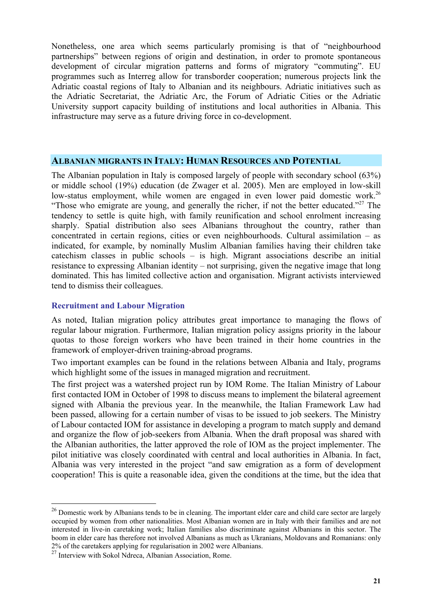Nonetheless, one area which seems particularly promising is that of "neighbourhood partnerships" between regions of origin and destination, in order to promote spontaneous development of circular migration patterns and forms of migratory "commuting". EU programmes such as Interreg allow for transborder cooperation; numerous projects link the Adriatic coastal regions of Italy to Albanian and its neighbours. Adriatic initiatives such as the Adriatic Secretariat, the Adriatic Arc, the Forum of Adriatic Cities or the Adriatic University support capacity building of institutions and local authorities in Albania. This infrastructure may serve as a future driving force in co-development.

#### **ALBANIAN MIGRANTS IN ITALY: HUMAN RESOURCES AND POTENTIAL**

The Albanian population in Italy is composed largely of people with secondary school (63%) or middle school (19%) education (de Zwager et al. 2005). Men are employed in low-skill low-status employment, while women are engaged in even lower paid domestic work.<sup>26</sup> "Those who emigrate are young, and generally the richer, if not the better educated."<sup>27</sup> The tendency to settle is quite high, with family reunification and school enrolment increasing sharply. Spatial distribution also sees Albanians throughout the country, rather than concentrated in certain regions, cities or even neighbourhoods. Cultural assimilation – as indicated, for example, by nominally Muslim Albanian families having their children take catechism classes in public schools – is high. Migrant associations describe an initial resistance to expressing Albanian identity – not surprising, given the negative image that long dominated. This has limited collective action and organisation. Migrant activists interviewed tend to dismiss their colleagues.

#### **Recruitment and Labour Migration**

As noted, Italian migration policy attributes great importance to managing the flows of regular labour migration. Furthermore, Italian migration policy assigns priority in the labour quotas to those foreign workers who have been trained in their home countries in the framework of employer-driven training-abroad programs.

Two important examples can be found in the relations between Albania and Italy, programs which highlight some of the issues in managed migration and recruitment.

The first project was a watershed project run by IOM Rome. The Italian Ministry of Labour first contacted IOM in October of 1998 to discuss means to implement the bilateral agreement signed with Albania the previous year. In the meanwhile, the Italian Framework Law had been passed, allowing for a certain number of visas to be issued to job seekers. The Ministry of Labour contacted IOM for assistance in developing a program to match supply and demand and organize the flow of job-seekers from Albania. When the draft proposal was shared with the Albanian authorities, the latter approved the role of IOM as the project implementer. The pilot initiative was closely coordinated with central and local authorities in Albania. In fact, Albania was very interested in the project "and saw emigration as a form of development cooperation! This is quite a reasonable idea, given the conditions at the time, but the idea that

 $26$  Domestic work by Albanians tends to be in cleaning. The important elder care and child care sector are largely occupied by women from other nationalities. Most Albanian women are in Italy with their families and are not interested in live-in caretaking work; Italian families also discriminate against Albanians in this sector. The boom in elder care has therefore not involved Albanians as much as Ukranians, Moldovans and Romanians: only 2% of the caretakers applying for regularisation in 2002 were Albanians.

 $27^{\circ}$  Interview with Sokol Ndreca, Albanian Association, Rome.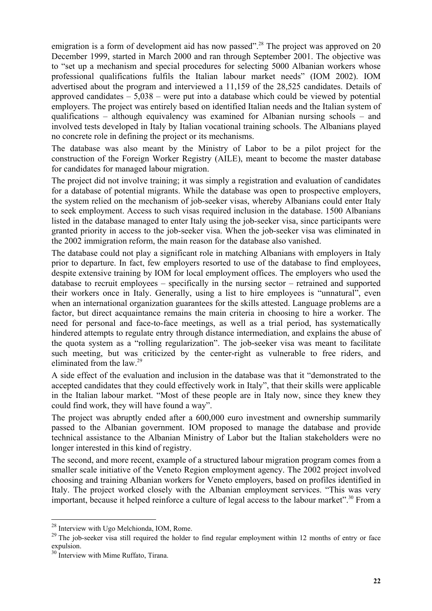emigration is a form of development aid has now passed".<sup>28</sup> The project was approved on 20 December 1999, started in March 2000 and ran through September 2001. The objective was to "set up a mechanism and special procedures for selecting 5000 Albanian workers whose professional qualifications fulfils the Italian labour market needs" (IOM 2002). IOM advertised about the program and interviewed a 11,159 of the 28,525 candidates. Details of approved candidates  $-5.038$  – were put into a database which could be viewed by potential employers. The project was entirely based on identified Italian needs and the Italian system of qualifications – although equivalency was examined for Albanian nursing schools – and involved tests developed in Italy by Italian vocational training schools. The Albanians played no concrete role in defining the project or its mechanisms.

The database was also meant by the Ministry of Labor to be a pilot project for the construction of the Foreign Worker Registry (AILE), meant to become the master database for candidates for managed labour migration.

The project did not involve training; it was simply a registration and evaluation of candidates for a database of potential migrants. While the database was open to prospective employers, the system relied on the mechanism of job-seeker visas, whereby Albanians could enter Italy to seek employment. Access to such visas required inclusion in the database. 1500 Albanians listed in the database managed to enter Italy using the job-seeker visa, since participants were granted priority in access to the job-seeker visa. When the job-seeker visa was eliminated in the 2002 immigration reform, the main reason for the database also vanished.

The database could not play a significant role in matching Albanians with employers in Italy prior to departure. In fact, few employers resorted to use of the database to find employees, despite extensive training by IOM for local employment offices. The employers who used the database to recruit employees – specifically in the nursing sector – retrained and supported their workers once in Italy. Generally, using a list to hire employees is "unnatural", even when an international organization guarantees for the skills attested. Language problems are a factor, but direct acquaintance remains the main criteria in choosing to hire a worker. The need for personal and face-to-face meetings, as well as a trial period, has systematically hindered attempts to regulate entry through distance intermediation, and explains the abuse of the quota system as a "rolling regularization". The job-seeker visa was meant to facilitate such meeting, but was criticized by the center-right as vulnerable to free riders, and eliminated from the law.<sup>29</sup>

A side effect of the evaluation and inclusion in the database was that it "demonstrated to the accepted candidates that they could effectively work in Italy", that their skills were applicable in the Italian labour market. "Most of these people are in Italy now, since they knew they could find work, they will have found a way".

The project was abruptly ended after a 600,000 euro investment and ownership summarily passed to the Albanian government. IOM proposed to manage the database and provide technical assistance to the Albanian Ministry of Labor but the Italian stakeholders were no longer interested in this kind of registry.

The second, and more recent, example of a structured labour migration program comes from a smaller scale initiative of the Veneto Region employment agency. The 2002 project involved choosing and training Albanian workers for Veneto employers, based on profiles identified in Italy. The project worked closely with the Albanian employment services. "This was very important, because it helped reinforce a culture of legal access to the labour market".<sup>30</sup> From a

 $28$  Interview with Ugo Melchionda, IOM, Rome.

<sup>&</sup>lt;sup>29</sup> The job-seeker visa still required the holder to find regular employment within 12 months of entry or face expulsion.

<sup>&</sup>lt;sup>30</sup> Interview with Mime Ruffato, Tirana.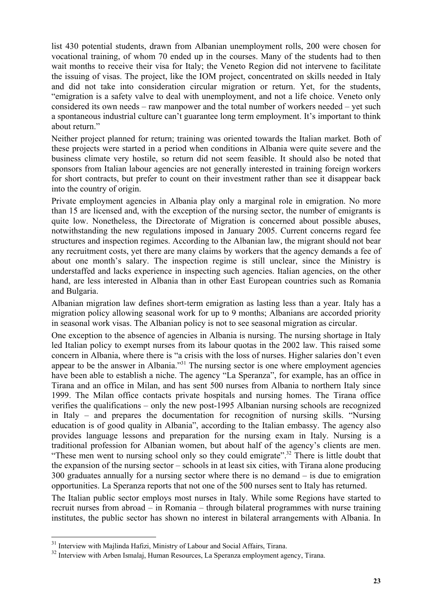list 430 potential students, drawn from Albanian unemployment rolls, 200 were chosen for vocational training, of whom 70 ended up in the courses. Many of the students had to then wait months to receive their visa for Italy; the Veneto Region did not intervene to facilitate the issuing of visas. The project, like the IOM project, concentrated on skills needed in Italy and did not take into consideration circular migration or return. Yet, for the students, "emigration is a safety valve to deal with unemployment, and not a life choice. Veneto only considered its own needs – raw manpower and the total number of workers needed – yet such a spontaneous industrial culture can't guarantee long term employment. It's important to think about return."

Neither project planned for return; training was oriented towards the Italian market. Both of these projects were started in a period when conditions in Albania were quite severe and the business climate very hostile, so return did not seem feasible. It should also be noted that sponsors from Italian labour agencies are not generally interested in training foreign workers for short contracts, but prefer to count on their investment rather than see it disappear back into the country of origin.

Private employment agencies in Albania play only a marginal role in emigration. No more than 15 are licensed and, with the exception of the nursing sector, the number of emigrants is quite low. Nonetheless, the Directorate of Migration is concerned about possible abuses, notwithstanding the new regulations imposed in January 2005. Current concerns regard fee structures and inspection regimes. According to the Albanian law, the migrant should not bear any recruitment costs, yet there are many claims by workers that the agency demands a fee of about one month's salary. The inspection regime is still unclear, since the Ministry is understaffed and lacks experience in inspecting such agencies. Italian agencies, on the other hand, are less interested in Albania than in other East European countries such as Romania and Bulgaria.

Albanian migration law defines short-term emigration as lasting less than a year. Italy has a migration policy allowing seasonal work for up to 9 months; Albanians are accorded priority in seasonal work visas. The Albanian policy is not to see seasonal migration as circular.

One exception to the absence of agencies in Albania is nursing. The nursing shortage in Italy led Italian policy to exempt nurses from its labour quotas in the 2002 law. This raised some concern in Albania, where there is "a crisis with the loss of nurses. Higher salaries don't even appear to be the answer in Albania."<sup>31</sup> The nursing sector is one where employment agencies have been able to establish a niche. The agency "La Speranza", for example, has an office in Tirana and an office in Milan, and has sent 500 nurses from Albania to northern Italy since 1999. The Milan office contacts private hospitals and nursing homes. The Tirana office verifies the qualifications – only the new post-1995 Albanian nursing schools are recognized in Italy – and prepares the documentation for recognition of nursing skills. "Nursing education is of good quality in Albania", according to the Italian embassy. The agency also provides language lessons and preparation for the nursing exam in Italy. Nursing is a traditional profession for Albanian women, but about half of the agency's clients are men. "These men went to nursing school only so they could emigrate".<sup>32</sup> There is little doubt that the expansion of the nursing sector – schools in at least six cities, with Tirana alone producing 300 graduates annually for a nursing sector where there is no demand – is due to emigration opportunities. La Speranza reports that not one of the 500 nurses sent to Italy has returned.

The Italian public sector employs most nurses in Italy. While some Regions have started to recruit nurses from abroad – in Romania – through bilateral programmes with nurse training institutes, the public sector has shown no interest in bilateral arrangements with Albania. In

<sup>&</sup>lt;sup>31</sup> Interview with Majlinda Hafizi, Ministry of Labour and Social Affairs, Tirana.

<sup>&</sup>lt;sup>32</sup> Interview with Arben Ismalaj, Human Resources, La Speranza employment agency, Tirana.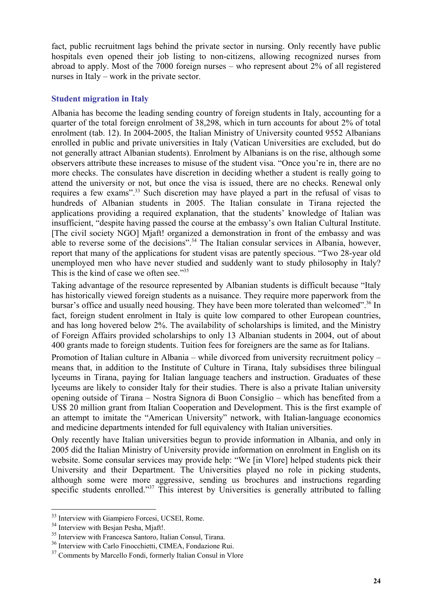fact, public recruitment lags behind the private sector in nursing. Only recently have public hospitals even opened their job listing to non-citizens, allowing recognized nurses from abroad to apply. Most of the 7000 foreign nurses – who represent about 2% of all registered nurses in Italy – work in the private sector.

#### **Student migration in Italy**

Albania has become the leading sending country of foreign students in Italy, accounting for a quarter of the total foreign enrolment of 38,298, which in turn accounts for about 2% of total enrolment (tab. 12). In 2004-2005, the Italian Ministry of University counted 9552 Albanians enrolled in public and private universities in Italy (Vatican Universities are excluded, but do not generally attract Albanian students). Enrolment by Albanians is on the rise, although some observers attribute these increases to misuse of the student visa. "Once you're in, there are no more checks. The consulates have discretion in deciding whether a student is really going to attend the university or not, but once the visa is issued, there are no checks. Renewal only requires a few exams".<sup>33</sup> Such discretion may have played a part in the refusal of visas to hundreds of Albanian students in 2005. The Italian consulate in Tirana rejected the applications providing a required explanation, that the students' knowledge of Italian was insufficient, "despite having passed the course at the embassy's own Italian Cultural Institute. [The civil society NGO] Mjaft! organized a demonstration in front of the embassy and was able to reverse some of the decisions".<sup>34</sup> The Italian consular services in Albania, however, report that many of the applications for student visas are patently specious. "Two 28-year old unemployed men who have never studied and suddenly want to study philosophy in Italy? This is the kind of case we often see."<sup>35</sup>

Taking advantage of the resource represented by Albanian students is difficult because "Italy has historically viewed foreign students as a nuisance. They require more paperwork from the bursar's office and usually need housing. They have been more tolerated than welcomed".<sup>36</sup> In fact, foreign student enrolment in Italy is quite low compared to other European countries. and has long hovered below 2%. The availability of scholarships is limited, and the Ministry of Foreign Affairs provided scholarships to only 13 Albanian students in 2004, out of about 400 grants made to foreign students. Tuition fees for foreigners are the same as for Italians.

Promotion of Italian culture in Albania – while divorced from university recruitment policy – means that, in addition to the Institute of Culture in Tirana, Italy subsidises three bilingual lyceums in Tirana, paying for Italian language teachers and instruction. Graduates of these lyceums are likely to consider Italy for their studies. There is also a private Italian university opening outside of Tirana – Nostra Signora di Buon Consiglio – which has benefited from a US\$ 20 million grant from Italian Cooperation and Development. This is the first example of an attempt to imitate the "American University" network, with Italian-language economics and medicine departments intended for full equivalency with Italian universities.

Only recently have Italian universities begun to provide information in Albania, and only in 2005 did the Italian Ministry of University provide information on enrolment in English on its website. Some consular services may provide help: "We [in Vlore] helped students pick their University and their Department. The Universities played no role in picking students, although some were more aggressive, sending us brochures and instructions regarding specific students enrolled."<sup>37</sup> This interest by Universities is generally attributed to falling

<sup>33</sup> Interview with Giampiero Forcesi, UCSEI, Rome.

<sup>&</sup>lt;sup>34</sup> Interview with Besian Pesha, Miaft!.

<sup>35</sup> Interview with Francesca Santoro, Italian Consul, Tirana.

<sup>36</sup> Interview with Carlo Finocchietti, CIMEA, Fondazione Rui.

<sup>&</sup>lt;sup>37</sup> Comments by Marcello Fondi, formerly Italian Consul in Vlore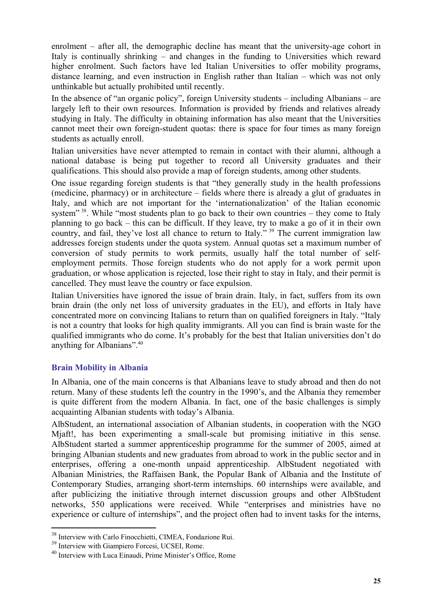enrolment – after all, the demographic decline has meant that the university-age cohort in Italy is continually shrinking – and changes in the funding to Universities which reward higher enrolment. Such factors have led Italian Universities to offer mobility programs, distance learning, and even instruction in English rather than Italian – which was not only unthinkable but actually prohibited until recently.

In the absence of "an organic policy", foreign University students – including Albanians – are largely left to their own resources. Information is provided by friends and relatives already studying in Italy. The difficulty in obtaining information has also meant that the Universities cannot meet their own foreign-student quotas: there is space for four times as many foreign students as actually enroll.

Italian universities have never attempted to remain in contact with their alumni, although a national database is being put together to record all University graduates and their qualifications. This should also provide a map of foreign students, among other students.

One issue regarding foreign students is that "they generally study in the health professions (medicine, pharmacy) or in architecture – fields where there is already a glut of graduates in Italy, and which are not important for the 'internationalization' of the Italian economic system"<sup>38</sup>. While "most students plan to go back to their own countries – they come to Italy planning to go back – this can be difficult. If they leave, try to make a go of it in their own country, and fail, they've lost all chance to return to Italy."<sup>39</sup> The current immigration law addresses foreign students under the quota system. Annual quotas set a maximum number of conversion of study permits to work permits, usually half the total number of selfemployment permits. Those foreign students who do not apply for a work permit upon graduation, or whose application is rejected, lose their right to stay in Italy, and their permit is cancelled. They must leave the country or face expulsion.

Italian Universities have ignored the issue of brain drain. Italy, in fact, suffers from its own brain drain (the only net loss of university graduates in the EU), and efforts in Italy have concentrated more on convincing Italians to return than on qualified foreigners in Italy. "Italy is not a country that looks for high quality immigrants. All you can find is brain waste for the qualified immigrants who do come. It's probably for the best that Italian universities don't do anything for Albanians".40

#### **Brain Mobility in Albania**

In Albania, one of the main concerns is that Albanians leave to study abroad and then do not return. Many of these students left the country in the 1990's, and the Albania they remember is quite different from the modern Albania. In fact, one of the basic challenges is simply acquainting Albanian students with today's Albania.

AlbStudent, an international association of Albanian students, in cooperation with the NGO Mjaft!, has been experimenting a small-scale but promising initiative in this sense. AlbStudent started a summer apprenticeship programme for the summer of 2005, aimed at bringing Albanian students and new graduates from abroad to work in the public sector and in enterprises, offering a one-month unpaid apprenticeship. AlbStudent negotiated with Albanian Ministries, the Raffaisen Bank, the Popular Bank of Albania and the Institute of Contemporary Studies, arranging short-term internships. 60 internships were available, and after publicizing the initiative through internet discussion groups and other AlbStudent networks, 550 applications were received. While "enterprises and ministries have no experience or culture of internships", and the project often had to invent tasks for the interns,

<sup>38</sup> Interview with Carlo Finocchietti, CIMEA, Fondazione Rui.

<sup>&</sup>lt;sup>39</sup> Interview with Giampiero Forcesi, UCSEI, Rome.

<sup>40</sup> Interview with Luca Einaudi, Prime Minister's Office, Rome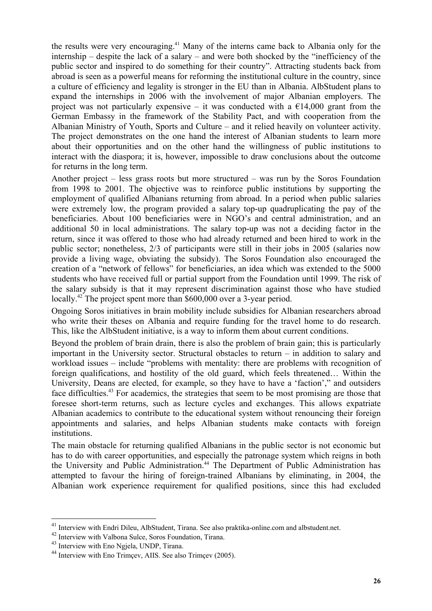the results were very encouraging.<sup>41</sup> Many of the interns came back to Albania only for the internship – despite the lack of a salary – and were both shocked by the "inefficiency of the public sector and inspired to do something for their country". Attracting students back from abroad is seen as a powerful means for reforming the institutional culture in the country, since a culture of efficiency and legality is stronger in the EU than in Albania. AlbStudent plans to expand the internships in 2006 with the involvement of major Albanian employers. The project was not particularly expensive – it was conducted with a  $\epsilon$ 14,000 grant from the German Embassy in the framework of the Stability Pact, and with cooperation from the Albanian Ministry of Youth, Sports and Culture – and it relied heavily on volunteer activity. The project demonstrates on the one hand the interest of Albanian students to learn more about their opportunities and on the other hand the willingness of public institutions to interact with the diaspora; it is, however, impossible to draw conclusions about the outcome for returns in the long term.

Another project – less grass roots but more structured – was run by the Soros Foundation from 1998 to 2001. The objective was to reinforce public institutions by supporting the employment of qualified Albanians returning from abroad. In a period when public salaries were extremely low, the program provided a salary top-up quadruplicating the pay of the beneficiaries. About 100 beneficiaries were in NGO's and central administration, and an additional 50 in local administrations. The salary top-up was not a deciding factor in the return, since it was offered to those who had already returned and been hired to work in the public sector; nonetheless, 2/3 of participants were still in their jobs in 2005 (salaries now provide a living wage, obviating the subsidy). The Soros Foundation also encouraged the creation of a "network of fellows" for beneficiaries, an idea which was extended to the 5000 students who have received full or partial support from the Foundation until 1999. The risk of the salary subsidy is that it may represent discrimination against those who have studied locally.<sup>42</sup> The project spent more than \$600,000 over a 3-year period.

Ongoing Soros initiatives in brain mobility include subsidies for Albanian researchers abroad who write their theses on Albania and require funding for the travel home to do research. This, like the AlbStudent initiative, is a way to inform them about current conditions.

Beyond the problem of brain drain, there is also the problem of brain gain; this is particularly important in the University sector. Structural obstacles to return – in addition to salary and workload issues – include "problems with mentality: there are problems with recognition of foreign qualifications, and hostility of the old guard, which feels threatened… Within the University, Deans are elected, for example, so they have to have a 'faction'," and outsiders face difficulties.<sup>43</sup> For academics, the strategies that seem to be most promising are those that foresee short-term returns, such as lecture cycles and exchanges. This allows expatriate Albanian academics to contribute to the educational system without renouncing their foreign appointments and salaries, and helps Albanian students make contacts with foreign institutions.

The main obstacle for returning qualified Albanians in the public sector is not economic but has to do with career opportunities, and especially the patronage system which reigns in both the University and Public Administration.<sup>44</sup> The Department of Public Administration has attempted to favour the hiring of foreign-trained Albanians by eliminating, in 2004, the Albanian work experience requirement for qualified positions, since this had excluded

<sup>&</sup>lt;sup>41</sup> Interview with Endri Dileu, AlbStudent, Tirana. See also praktika-online.com and albstudent.net.

<sup>42</sup> Interview with Valbona Sulce, Soros Foundation, Tirana.

<sup>43</sup> Interview with Eno Ngjela, UNDP, Tirana.

<sup>&</sup>lt;sup>44</sup> Interview with Eno Trimcey, AIIS. See also Trimcey (2005).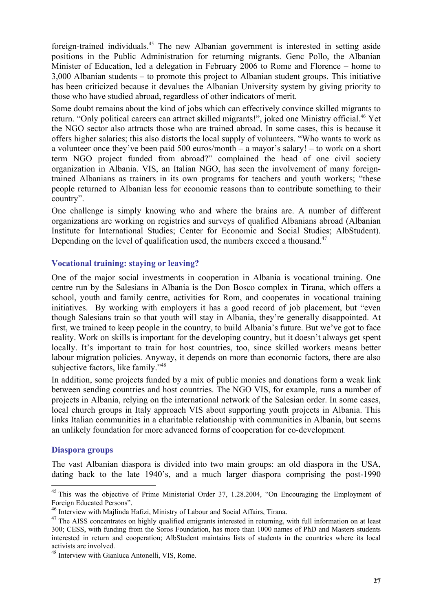foreign-trained individuals.45 The new Albanian government is interested in setting aside positions in the Public Administration for returning migrants. Genc Pollo, the Albanian Minister of Education, led a delegation in February 2006 to Rome and Florence – home to 3,000 Albanian students – to promote this project to Albanian student groups. This initiative has been criticized because it devalues the Albanian University system by giving priority to those who have studied abroad, regardless of other indicators of merit.

Some doubt remains about the kind of jobs which can effectively convince skilled migrants to return. "Only political careers can attract skilled migrants!", joked one Ministry official.<sup>46</sup> Yet the NGO sector also attracts those who are trained abroad. In some cases, this is because it offers higher salaries; this also distorts the local supply of volunteers. "Who wants to work as a volunteer once they've been paid 500 euros/month – a mayor's salary! – to work on a short term NGO project funded from abroad?" complained the head of one civil society organization in Albania. VIS, an Italian NGO, has seen the involvement of many foreigntrained Albanians as trainers in its own programs for teachers and youth workers; "these people returned to Albanian less for economic reasons than to contribute something to their country".

One challenge is simply knowing who and where the brains are. A number of different organizations are working on registries and surveys of qualified Albanians abroad (Albanian Institute for International Studies; Center for Economic and Social Studies; AlbStudent). Depending on the level of qualification used, the numbers exceed a thousand.<sup>47</sup>

#### **Vocational training: staying or leaving?**

One of the major social investments in cooperation in Albania is vocational training. One centre run by the Salesians in Albania is the Don Bosco complex in Tirana, which offers a school, youth and family centre, activities for Rom, and cooperates in vocational training initiatives. By working with employers it has a good record of job placement, but "even though Salesians train so that youth will stay in Albania, they're generally disappointed. At first, we trained to keep people in the country, to build Albania's future. But we've got to face reality. Work on skills is important for the developing country, but it doesn't always get spent locally. It's important to train for host countries, too, since skilled workers means better labour migration policies. Anyway, it depends on more than economic factors, there are also subjective factors, like family."<sup>48</sup>

In addition, some projects funded by a mix of public monies and donations form a weak link between sending countries and host countries. The NGO VIS, for example, runs a number of projects in Albania, relying on the international network of the Salesian order. In some cases, local church groups in Italy approach VIS about supporting youth projects in Albania. This links Italian communities in a charitable relationship with communities in Albania, but seems an unlikely foundation for more advanced forms of cooperation for co-development.

#### **Diaspora groups**

 $\overline{a}$ 

The vast Albanian diaspora is divided into two main groups: an old diaspora in the USA, dating back to the late 1940's, and a much larger diaspora comprising the post-1990

<sup>&</sup>lt;sup>45</sup> This was the objective of Prime Ministerial Order 37, 1.28.2004, "On Encouraging the Employment of Foreign Educated Persons".

<sup>46</sup> Interview with Majlinda Hafizi, Ministry of Labour and Social Affairs, Tirana.

<sup>&</sup>lt;sup>47</sup> The AISS concentrates on highly qualified emigrants interested in returning, with full information on at least 300; CESS, with funding from the Soros Foundation, has more than 1000 names of PhD and Masters students interested in return and cooperation; AlbStudent maintains lists of students in the countries where its local activists are involved.

<sup>48</sup> Interview with Gianluca Antonelli, VIS, Rome.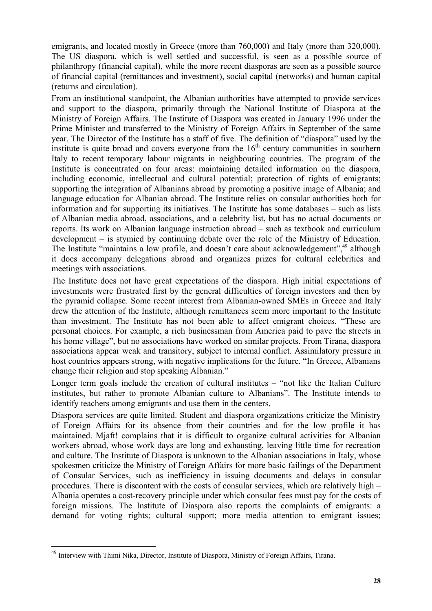emigrants, and located mostly in Greece (more than 760,000) and Italy (more than 320,000). The US diaspora, which is well settled and successful, is seen as a possible source of philanthropy (financial capital), while the more recent diasporas are seen as a possible source of financial capital (remittances and investment), social capital (networks) and human capital (returns and circulation).

From an institutional standpoint, the Albanian authorities have attempted to provide services and support to the diaspora, primarily through the National Institute of Diaspora at the Ministry of Foreign Affairs. The Institute of Diaspora was created in January 1996 under the Prime Minister and transferred to the Ministry of Foreign Affairs in September of the same year. The Director of the Institute has a staff of five. The definition of "diaspora" used by the institute is quite broad and covers everyone from the  $16<sup>th</sup>$  century communities in southern Italy to recent temporary labour migrants in neighbouring countries. The program of the Institute is concentrated on four areas: maintaining detailed information on the diaspora, including economic, intellectual and cultural potential; protection of rights of emigrants; supporting the integration of Albanians abroad by promoting a positive image of Albania; and language education for Albanian abroad. The Institute relies on consular authorities both for information and for supporting its initiatives. The Institute has some databases – such as lists of Albanian media abroad, associations, and a celebrity list, but has no actual documents or reports. Its work on Albanian language instruction abroad – such as textbook and curriculum development – is stymied by continuing debate over the role of the Ministry of Education. The Institute "maintains a low profile, and doesn't care about acknowledgement",<sup>49</sup> although it does accompany delegations abroad and organizes prizes for cultural celebrities and meetings with associations.

The Institute does not have great expectations of the diaspora. High initial expectations of investments were frustrated first by the general difficulties of foreign investors and then by the pyramid collapse. Some recent interest from Albanian-owned SMEs in Greece and Italy drew the attention of the Institute, although remittances seem more important to the Institute than investment. The Institute has not been able to affect emigrant choices. "These are personal choices. For example, a rich businessman from America paid to pave the streets in his home village", but no associations have worked on similar projects. From Tirana, diaspora associations appear weak and transitory, subject to internal conflict. Assimilatory pressure in host countries appears strong, with negative implications for the future. "In Greece, Albanians change their religion and stop speaking Albanian."

Longer term goals include the creation of cultural institutes – "not like the Italian Culture institutes, but rather to promote Albanian culture to Albanians". The Institute intends to identify teachers among emigrants and use them in the centers.

Diaspora services are quite limited. Student and diaspora organizations criticize the Ministry of Foreign Affairs for its absence from their countries and for the low profile it has maintained. Mjaft! complains that it is difficult to organize cultural activities for Albanian workers abroad, whose work days are long and exhausting, leaving little time for recreation and culture. The Institute of Diaspora is unknown to the Albanian associations in Italy, whose spokesmen criticize the Ministry of Foreign Affairs for more basic failings of the Department of Consular Services, such as inefficiency in issuing documents and delays in consular procedures. There is discontent with the costs of consular services, which are relatively high – Albania operates a cost-recovery principle under which consular fees must pay for the costs of foreign missions. The Institute of Diaspora also reports the complaints of emigrants: a demand for voting rights; cultural support; more media attention to emigrant issues;

<sup>&</sup>lt;sup>49</sup> Interview with Thimi Nika, Director, Institute of Diaspora, Ministry of Foreign Affairs, Tirana.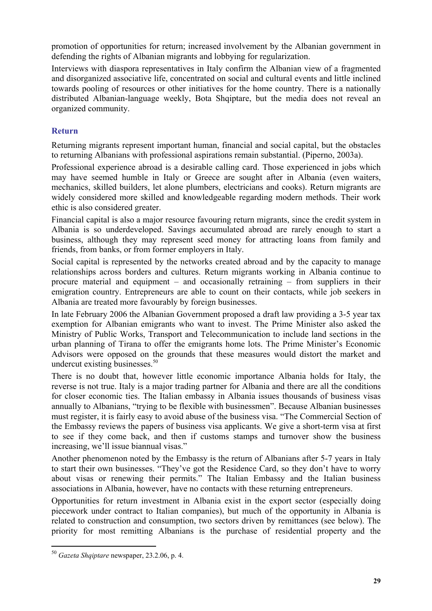promotion of opportunities for return; increased involvement by the Albanian government in defending the rights of Albanian migrants and lobbying for regularization.

Interviews with diaspora representatives in Italy confirm the Albanian view of a fragmented and disorganized associative life, concentrated on social and cultural events and little inclined towards pooling of resources or other initiatives for the home country. There is a nationally distributed Albanian-language weekly, Bota Shqiptare, but the media does not reveal an organized community.

#### **Return**

Returning migrants represent important human, financial and social capital, but the obstacles to returning Albanians with professional aspirations remain substantial. (Piperno, 2003a).

Professional experience abroad is a desirable calling card. Those experienced in jobs which may have seemed humble in Italy or Greece are sought after in Albania (even waiters, mechanics, skilled builders, let alone plumbers, electricians and cooks). Return migrants are widely considered more skilled and knowledgeable regarding modern methods. Their work ethic is also considered greater.

Financial capital is also a major resource favouring return migrants, since the credit system in Albania is so underdeveloped. Savings accumulated abroad are rarely enough to start a business, although they may represent seed money for attracting loans from family and friends, from banks, or from former employers in Italy.

Social capital is represented by the networks created abroad and by the capacity to manage relationships across borders and cultures. Return migrants working in Albania continue to procure material and equipment – and occasionally retraining – from suppliers in their emigration country. Entrepreneurs are able to count on their contacts, while job seekers in Albania are treated more favourably by foreign businesses.

In late February 2006 the Albanian Government proposed a draft law providing a 3-5 year tax exemption for Albanian emigrants who want to invest. The Prime Minister also asked the Ministry of Public Works, Transport and Telecommunication to include land sections in the urban planning of Tirana to offer the emigrants home lots. The Prime Minister's Economic Advisors were opposed on the grounds that these measures would distort the market and undercut existing businesses.<sup>50</sup>

There is no doubt that, however little economic importance Albania holds for Italy, the reverse is not true. Italy is a major trading partner for Albania and there are all the conditions for closer economic ties. The Italian embassy in Albania issues thousands of business visas annually to Albanians, "trying to be flexible with businessmen". Because Albanian businesses must register, it is fairly easy to avoid abuse of the business visa. "The Commercial Section of the Embassy reviews the papers of business visa applicants. We give a short-term visa at first to see if they come back, and then if customs stamps and turnover show the business increasing, we'll issue biannual visas."

Another phenomenon noted by the Embassy is the return of Albanians after 5-7 years in Italy to start their own businesses. "They've got the Residence Card, so they don't have to worry about visas or renewing their permits." The Italian Embassy and the Italian business associations in Albania, however, have no contacts with these returning entrepreneurs.

Opportunities for return investment in Albania exist in the export sector (especially doing piecework under contract to Italian companies), but much of the opportunity in Albania is related to construction and consumption, two sectors driven by remittances (see below). The priority for most remitting Albanians is the purchase of residential property and the

<sup>50</sup> *Gazeta Shqiptare* newspaper, 23.2.06, p. 4.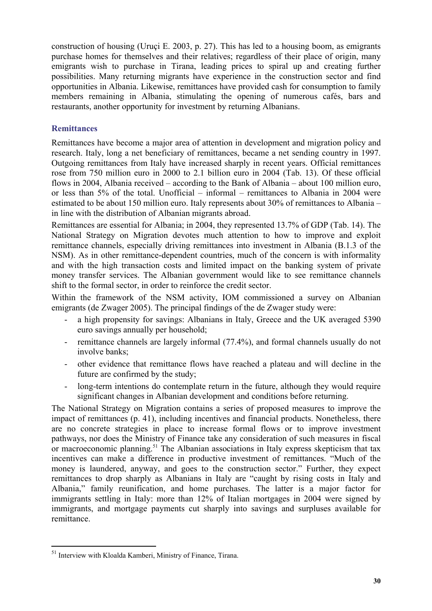construction of housing (Uruçi E. 2003, p. 27). This has led to a housing boom, as emigrants purchase homes for themselves and their relatives; regardless of their place of origin, many emigrants wish to purchase in Tirana, leading prices to spiral up and creating further possibilities. Many returning migrants have experience in the construction sector and find opportunities in Albania. Likewise, remittances have provided cash for consumption to family members remaining in Albania, stimulating the opening of numerous cafés, bars and restaurants, another opportunity for investment by returning Albanians.

#### **Remittances**

Remittances have become a major area of attention in development and migration policy and research. Italy, long a net beneficiary of remittances, became a net sending country in 1997. Outgoing remittances from Italy have increased sharply in recent years. Official remittances rose from 750 million euro in 2000 to 2.1 billion euro in 2004 (Tab. 13). Of these official flows in 2004, Albania received – according to the Bank of Albania – about 100 million euro, or less than 5% of the total. Unofficial – informal – remittances to Albania in 2004 were estimated to be about 150 million euro. Italy represents about 30% of remittances to Albania – in line with the distribution of Albanian migrants abroad.

Remittances are essential for Albania; in 2004, they represented 13.7% of GDP (Tab. 14). The National Strategy on Migration devotes much attention to how to improve and exploit remittance channels, especially driving remittances into investment in Albania (B.1.3 of the NSM). As in other remittance-dependent countries, much of the concern is with informality and with the high transaction costs and limited impact on the banking system of private money transfer services. The Albanian government would like to see remittance channels shift to the formal sector, in order to reinforce the credit sector.

Within the framework of the NSM activity, IOM commissioned a survey on Albanian emigrants (de Zwager 2005). The principal findings of the de Zwager study were:

- a high propensity for savings: Albanians in Italy, Greece and the UK averaged 5390 euro savings annually per household;
- remittance channels are largely informal (77.4%), and formal channels usually do not involve banks;
- other evidence that remittance flows have reached a plateau and will decline in the future are confirmed by the study;
- long-term intentions do contemplate return in the future, although they would require significant changes in Albanian development and conditions before returning.

The National Strategy on Migration contains a series of proposed measures to improve the impact of remittances (p. 41), including incentives and financial products. Nonetheless, there are no concrete strategies in place to increase formal flows or to improve investment pathways, nor does the Ministry of Finance take any consideration of such measures in fiscal or macroeconomic planning.<sup>51</sup> The Albanian associations in Italy express skepticism that tax incentives can make a difference in productive investment of remittances. "Much of the money is laundered, anyway, and goes to the construction sector." Further, they expect remittances to drop sharply as Albanians in Italy are "caught by rising costs in Italy and Albania," family reunification, and home purchases. The latter is a major factor for immigrants settling in Italy: more than 12% of Italian mortgages in 2004 were signed by immigrants, and mortgage payments cut sharply into savings and surpluses available for remittance.

<sup>&</sup>lt;sup>51</sup> Interview with Kloalda Kamberi, Ministry of Finance, Tirana.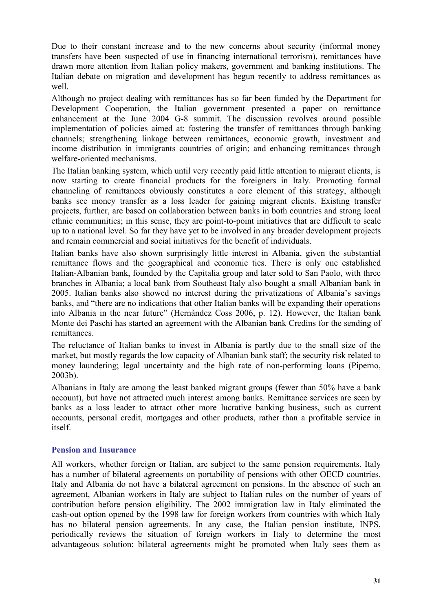Due to their constant increase and to the new concerns about security (informal money transfers have been suspected of use in financing international terrorism), remittances have drawn more attention from Italian policy makers, government and banking institutions. The Italian debate on migration and development has begun recently to address remittances as well.

Although no project dealing with remittances has so far been funded by the Department for Development Cooperation, the Italian government presented a paper on remittance enhancement at the June 2004 G-8 summit. The discussion revolves around possible implementation of policies aimed at: fostering the transfer of remittances through banking channels; strengthening linkage between remittances, economic growth, investment and income distribution in immigrants countries of origin; and enhancing remittances through welfare-oriented mechanisms.

The Italian banking system, which until very recently paid little attention to migrant clients, is now starting to create financial products for the foreigners in Italy. Promoting formal channeling of remittances obviously constitutes a core element of this strategy, although banks see money transfer as a loss leader for gaining migrant clients. Existing transfer projects, further, are based on collaboration between banks in both countries and strong local ethnic communities; in this sense, they are point-to-point initiatives that are difficult to scale up to a national level. So far they have yet to be involved in any broader development projects and remain commercial and social initiatives for the benefit of individuals.

Italian banks have also shown surprisingly little interest in Albania, given the substantial remittance flows and the geographical and economic ties. There is only one established Italian-Albanian bank, founded by the Capitalia group and later sold to San Paolo, with three branches in Albania; a local bank from Southeast Italy also bought a small Albanian bank in 2005. Italian banks also showed no interest during the privatizations of Albania's savings banks, and "there are no indications that other Italian banks will be expanding their operations into Albania in the near future" (Hernàndez Coss 2006, p. 12). However, the Italian bank Monte dei Paschi has started an agreement with the Albanian bank Credins for the sending of remittances.

The reluctance of Italian banks to invest in Albania is partly due to the small size of the market, but mostly regards the low capacity of Albanian bank staff; the security risk related to money laundering; legal uncertainty and the high rate of non-performing loans (Piperno, 2003b).

Albanians in Italy are among the least banked migrant groups (fewer than 50% have a bank account), but have not attracted much interest among banks. Remittance services are seen by banks as a loss leader to attract other more lucrative banking business, such as current accounts, personal credit, mortgages and other products, rather than a profitable service in itself.

#### **Pension and Insurance**

All workers, whether foreign or Italian, are subject to the same pension requirements. Italy has a number of bilateral agreements on portability of pensions with other OECD countries. Italy and Albania do not have a bilateral agreement on pensions. In the absence of such an agreement, Albanian workers in Italy are subject to Italian rules on the number of years of contribution before pension eligibility. The 2002 immigration law in Italy eliminated the cash-out option opened by the 1998 law for foreign workers from countries with which Italy has no bilateral pension agreements. In any case, the Italian pension institute, INPS, periodically reviews the situation of foreign workers in Italy to determine the most advantageous solution: bilateral agreements might be promoted when Italy sees them as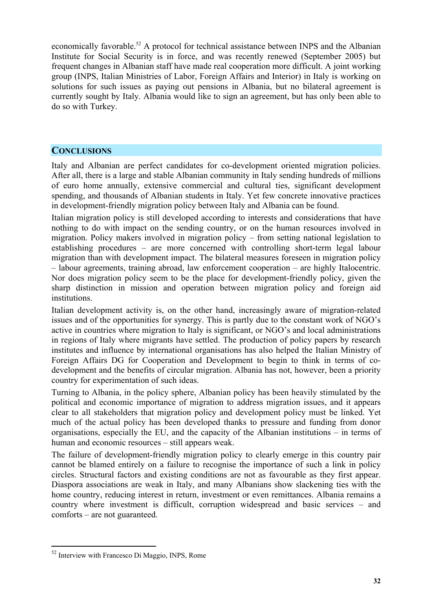economically favorable.<sup>52</sup> A protocol for technical assistance between INPS and the Albanian Institute for Social Security is in force, and was recently renewed (September 2005) but frequent changes in Albanian staff have made real cooperation more difficult. A joint working group (INPS, Italian Ministries of Labor, Foreign Affairs and Interior) in Italy is working on solutions for such issues as paying out pensions in Albania, but no bilateral agreement is currently sought by Italy. Albania would like to sign an agreement, but has only been able to do so with Turkey.

#### **CONCLUSIONS**

Italy and Albanian are perfect candidates for co-development oriented migration policies. After all, there is a large and stable Albanian community in Italy sending hundreds of millions of euro home annually, extensive commercial and cultural ties, significant development spending, and thousands of Albanian students in Italy. Yet few concrete innovative practices in development-friendly migration policy between Italy and Albania can be found.

Italian migration policy is still developed according to interests and considerations that have nothing to do with impact on the sending country, or on the human resources involved in migration. Policy makers involved in migration policy – from setting national legislation to establishing procedures – are more concerned with controlling short-term legal labour migration than with development impact. The bilateral measures foreseen in migration policy – labour agreements, training abroad, law enforcement cooperation – are highly Italocentric. Nor does migration policy seem to be the place for development-friendly policy, given the sharp distinction in mission and operation between migration policy and foreign aid institutions.

Italian development activity is, on the other hand, increasingly aware of migration-related issues and of the opportunities for synergy. This is partly due to the constant work of NGO's active in countries where migration to Italy is significant, or NGO's and local administrations in regions of Italy where migrants have settled. The production of policy papers by research institutes and influence by international organisations has also helped the Italian Ministry of Foreign Affairs DG for Cooperation and Development to begin to think in terms of codevelopment and the benefits of circular migration. Albania has not, however, been a priority country for experimentation of such ideas.

Turning to Albania, in the policy sphere, Albanian policy has been heavily stimulated by the political and economic importance of migration to address migration issues, and it appears clear to all stakeholders that migration policy and development policy must be linked. Yet much of the actual policy has been developed thanks to pressure and funding from donor organisations, especially the EU, and the capacity of the Albanian institutions – in terms of human and economic resources – still appears weak.

The failure of development-friendly migration policy to clearly emerge in this country pair cannot be blamed entirely on a failure to recognise the importance of such a link in policy circles. Structural factors and existing conditions are not as favourable as they first appear. Diaspora associations are weak in Italy, and many Albanians show slackening ties with the home country, reducing interest in return, investment or even remittances. Albania remains a country where investment is difficult, corruption widespread and basic services – and comforts – are not guaranteed.

<sup>52</sup> Interview with Francesco Di Maggio, INPS, Rome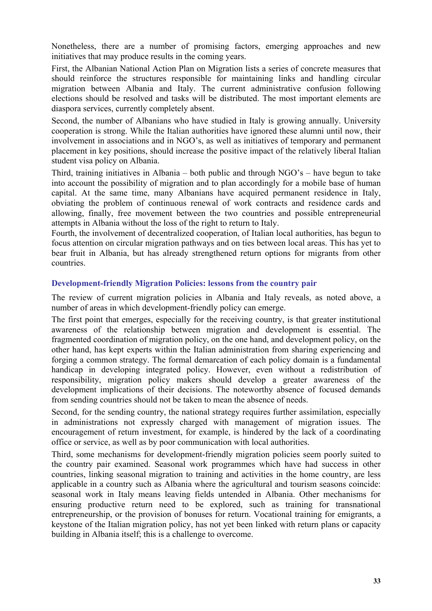Nonetheless, there are a number of promising factors, emerging approaches and new initiatives that may produce results in the coming years.

First, the Albanian National Action Plan on Migration lists a series of concrete measures that should reinforce the structures responsible for maintaining links and handling circular migration between Albania and Italy. The current administrative confusion following elections should be resolved and tasks will be distributed. The most important elements are diaspora services, currently completely absent.

Second, the number of Albanians who have studied in Italy is growing annually. University cooperation is strong. While the Italian authorities have ignored these alumni until now, their involvement in associations and in NGO's, as well as initiatives of temporary and permanent placement in key positions, should increase the positive impact of the relatively liberal Italian student visa policy on Albania.

Third, training initiatives in Albania – both public and through NGO's – have begun to take into account the possibility of migration and to plan accordingly for a mobile base of human capital. At the same time, many Albanians have acquired permanent residence in Italy, obviating the problem of continuous renewal of work contracts and residence cards and allowing, finally, free movement between the two countries and possible entrepreneurial attempts in Albania without the loss of the right to return to Italy.

Fourth, the involvement of decentralized cooperation, of Italian local authorities, has begun to focus attention on circular migration pathways and on ties between local areas. This has yet to bear fruit in Albania, but has already strengthened return options for migrants from other countries.

#### **Development-friendly Migration Policies: lessons from the country pair**

The review of current migration policies in Albania and Italy reveals, as noted above, a number of areas in which development-friendly policy can emerge.

The first point that emerges, especially for the receiving country, is that greater institutional awareness of the relationship between migration and development is essential. The fragmented coordination of migration policy, on the one hand, and development policy, on the other hand, has kept experts within the Italian administration from sharing experiencing and forging a common strategy. The formal demarcation of each policy domain is a fundamental handicap in developing integrated policy. However, even without a redistribution of responsibility, migration policy makers should develop a greater awareness of the development implications of their decisions. The noteworthy absence of focused demands from sending countries should not be taken to mean the absence of needs.

Second, for the sending country, the national strategy requires further assimilation, especially in administrations not expressly charged with management of migration issues. The encouragement of return investment, for example, is hindered by the lack of a coordinating office or service, as well as by poor communication with local authorities.

Third, some mechanisms for development-friendly migration policies seem poorly suited to the country pair examined. Seasonal work programmes which have had success in other countries, linking seasonal migration to training and activities in the home country, are less applicable in a country such as Albania where the agricultural and tourism seasons coincide: seasonal work in Italy means leaving fields untended in Albania. Other mechanisms for ensuring productive return need to be explored, such as training for transnational entrepreneurship, or the provision of bonuses for return. Vocational training for emigrants, a keystone of the Italian migration policy, has not yet been linked with return plans or capacity building in Albania itself; this is a challenge to overcome.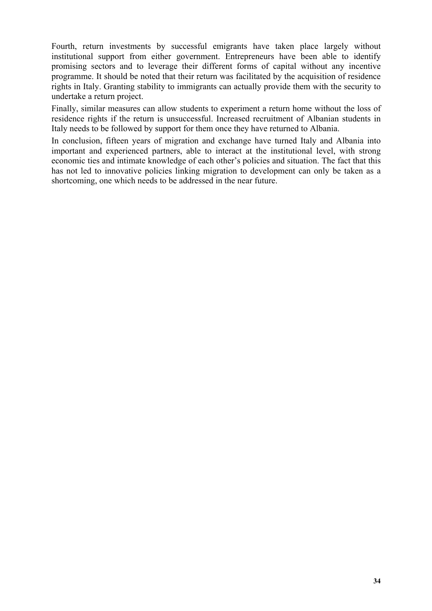Fourth, return investments by successful emigrants have taken place largely without institutional support from either government. Entrepreneurs have been able to identify promising sectors and to leverage their different forms of capital without any incentive programme. It should be noted that their return was facilitated by the acquisition of residence rights in Italy. Granting stability to immigrants can actually provide them with the security to undertake a return project.

Finally, similar measures can allow students to experiment a return home without the loss of residence rights if the return is unsuccessful. Increased recruitment of Albanian students in Italy needs to be followed by support for them once they have returned to Albania.

In conclusion, fifteen years of migration and exchange have turned Italy and Albania into important and experienced partners, able to interact at the institutional level, with strong economic ties and intimate knowledge of each other's policies and situation. The fact that this has not led to innovative policies linking migration to development can only be taken as a shortcoming, one which needs to be addressed in the near future.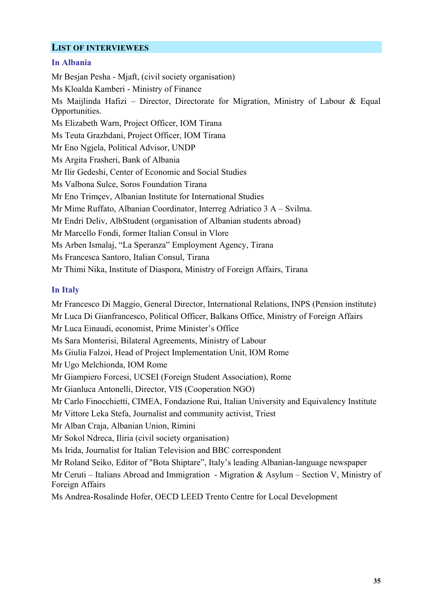#### **LIST OF INTERVIEWEES**

#### **In Albania**

Mr Besjan Pesha - Mjaft, (civil society organisation) Ms Kloalda Kamberi - Ministry of Finance Ms Maijlinda Hafizi – Director, Directorate for Migration, Ministry of Labour & Equal Opportunities. Ms Elizabeth Warn, Project Officer, IOM Tirana Ms Teuta Grazhdani, Project Officer, IOM Tirana Mr Eno Ngjela, Political Advisor, UNDP Ms Argita Frasheri, Bank of Albania Mr Ilir Gedeshi, Center of Economic and Social Studies Ms Valbona Sulce, Soros Foundation Tirana Mr Eno Trimçev, Albanian Institute for International Studies Mr Mime Ruffato, Albanian Coordinator, Interreg Adriatico 3 A – Svilma. Mr Endri Deliv, AlbStudent (organisation of Albanian students abroad) Mr Marcello Fondi, former Italian Consul in Vlore Ms Arben Ismalaj, "La Speranza" Employment Agency, Tirana Ms Francesca Santoro, Italian Consul, Tirana Mr Thimi Nika, Institute of Diaspora, Ministry of Foreign Affairs, Tirana

#### **In Italy**

Mr Francesco Di Maggio, General Director, International Relations, INPS (Pension institute) Mr Luca Di Gianfrancesco, Political Officer, Balkans Office, Ministry of Foreign Affairs Mr Luca Einaudi, economist, Prime Minister's Office Ms Sara Monterisi, Bilateral Agreements, Ministry of Labour Ms Giulia Falzoi, Head of Project Implementation Unit, IOM Rome Mr Ugo Melchionda, IOM Rome Mr Giampiero Forcesi, UCSEI (Foreign Student Association), Rome Mr Gianluca Antonelli, Director, VIS (Cooperation NGO) Mr Carlo Finocchietti, CIMEA, Fondazione Rui, Italian University and Equivalency Institute Mr Vittore Leka Stefa, Journalist and community activist, Triest Mr Alban Craja, Albanian Union, Rimini Mr Sokol Ndreca, Iliria (civil society organisation) Ms Irida, Journalist for Italian Television and BBC correspondent Mr Roland Seiko, Editor of "Bota Shiptare", Italy's leading Albanian-language newspaper Mr Ceruti – Italians Abroad and Immigration - Migration & Asylum – Section V, Ministry of Foreign Affairs Ms Andrea-Rosalinde Hofer, OECD LEED Trento Centre for Local Development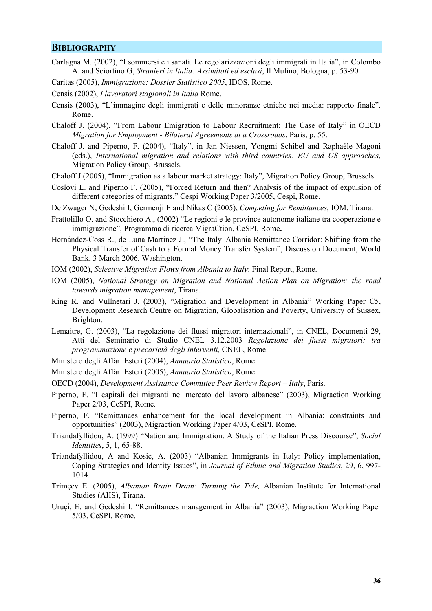#### **BIBLIOGRAPHY**

- Carfagna M. (2002), "I sommersi e i sanati. Le regolarizzazioni degli immigrati in Italia", in Colombo A. and Sciortino G, *Stranieri in Italia: Assimilati ed esclusi*, Il Mulino, Bologna, p. 53-90.
- Caritas (2005), *Immigrazione: Dossier Statistico 2005*, IDOS, Rome.
- Censis (2002), *I lavoratori stagionali in Italia* Rome.
- Censis (2003), "L'immagine degli immigrati e delle minoranze etniche nei media: rapporto finale". Rome.
- Chaloff J. (2004), "From Labour Emigration to Labour Recruitment: The Case of Italy" in OECD *Migration for Employment - Bilateral Agreements at a Crossroads*, Paris, p. 55.
- Chaloff J. and Piperno, F. (2004), "Italy", in Jan Niessen, Yongmi Schibel and Raphaële Magoni (eds.), *International migration and relations with third countries: EU and US approaches*, Migration Policy Group, Brussels.
- Chaloff J (2005), "Immigration as a labour market strategy: Italy", Migration Policy Group, Brussels.
- Coslovi L. and Piperno F. (2005), "Forced Return and then? Analysis of the impact of expulsion of different categories of migrants." Cespi Working Paper 3/2005, Cespi, Rome.
- De Zwager N, Gedeshi I, Germenji E and Nikas C (2005), *Competing for Remittances*, IOM, Tirana.
- Frattolillo O. and Stocchiero A., (2002) "Le regioni e le province autonome italiane tra cooperazione e immigrazione", Programma di ricerca MigraCtion, CeSPI, Rome**.**
- Hernández-Coss R., de Luna Martinez J., "The Italy–Albania Remittance Corridor: Shifting from the Physical Transfer of Cash to a Formal Money Transfer System", Discussion Document, World Bank, 3 March 2006, Washington.
- IOM (2002), *Selective Migration Flows from Albania to Italy*: Final Report, Rome.
- IOM (2005), *National Strategy on Migration and National Action Plan on Migration: the road towards migration management*, Tirana.
- King R. and Vullnetari J. (2003), "Migration and Development in Albania" Working Paper C5, Development Research Centre on Migration, Globalisation and Poverty, University of Sussex, Brighton.
- Lemaitre, G. (2003), "La regolazione dei flussi migratori internazionali", in CNEL, Documenti 29, Atti del Seminario di Studio CNEL 3.12.2003 *Regolazione dei flussi migratori: tra programmazione e precarietà degli interventi,* CNEL, Rome.
- Ministero degli Affari Esteri (2004), *Annuario Statistico*, Rome.
- Ministero degli Affari Esteri (2005), *Annuario Statistico*, Rome.
- OECD (2004), *Development Assistance Committee Peer Review Report Italy*, Paris.
- Piperno, F. "I capitali dei migranti nel mercato del lavoro albanese" (2003), Migraction Working Paper 2/03, CeSPI, Rome.
- Piperno, F. "Remittances enhancement for the local development in Albania: constraints and opportunities" (2003), Migraction Working Paper 4/03, CeSPI, Rome.
- Triandafyllidou, A. (1999) "Nation and Immigration: A Study of the Italian Press Discourse", *Social Identities*, 5, 1, 65-88.
- Triandafyllidou, A and Kosic, A. (2003) "Albanian Immigrants in Italy: Policy implementation, Coping Strategies and Identity Issues", in *Journal of Ethnic and Migration Studies*, 29, 6, 997- 1014.
- Trimçev E. (2005), *Albanian Brain Drain: Turning the Tide,* Albanian Institute for International Studies (AIIS), Tirana.
- Uruçi, E. and Gedeshi I. "Remittances management in Albania" (2003), Migraction Working Paper 5/03, CeSPI, Rome.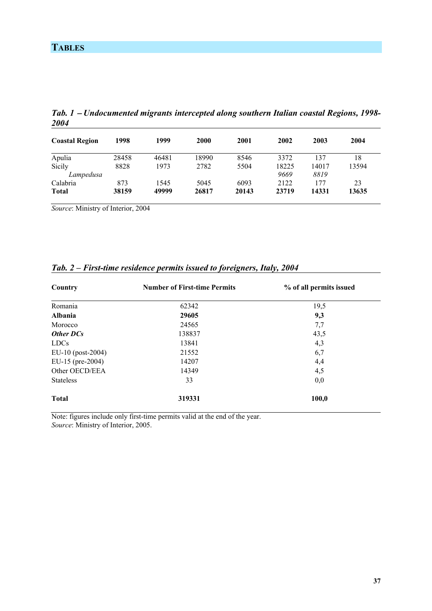| <b>Coastal Region</b> | 1998  | 1999  | 2000  | 2001  | 2002  | 2003  | 2004  |
|-----------------------|-------|-------|-------|-------|-------|-------|-------|
| Apulia                | 28458 | 46481 | 18990 | 8546  | 3372  | 137   | 18    |
| Sicily                | 8828  | 1973  | 2782  | 5504  | 18225 | 14017 | 13594 |
| Lampedusa             |       |       |       |       | 9669  | 8819  |       |
| Calabria              | 873   | 1545  | 5045  | 6093  | 2122  | 177   | 23    |
| <b>Total</b>          | 38159 | 49999 | 26817 | 20143 | 23719 | 14331 | 13635 |

*Tab. 1* − *Undocumented migrants intercepted along southern Italian coastal Regions, 1998- 2004* 

*Source*: Ministry of Interior, 2004

| Country           | <b>Number of First-time Permits</b> | % of all permits issued |
|-------------------|-------------------------------------|-------------------------|
| Romania           | 62342                               | 19,5                    |
| <b>Albania</b>    | 29605                               | 9,3                     |
| Morocco           | 24565                               | 7,7                     |
| <b>Other DCs</b>  | 138837                              | 43,5                    |
| <b>LDCs</b>       | 13841                               | 4,3                     |
| EU-10 (post-2004) | 21552                               | 6,7                     |
| EU-15 (pre-2004)  | 14207                               | 4,4                     |
| Other OECD/EEA    | 14349                               | 4,5                     |
| <b>Stateless</b>  | 33                                  | 0,0                     |
| <b>Total</b>      | 319331                              | 100,0                   |

#### *Tab. 2 – First-time residence permits issued to foreigners, Italy, 2004*

Note: figures include only first-time permits valid at the end of the year. *Source*: Ministry of Interior, 2005.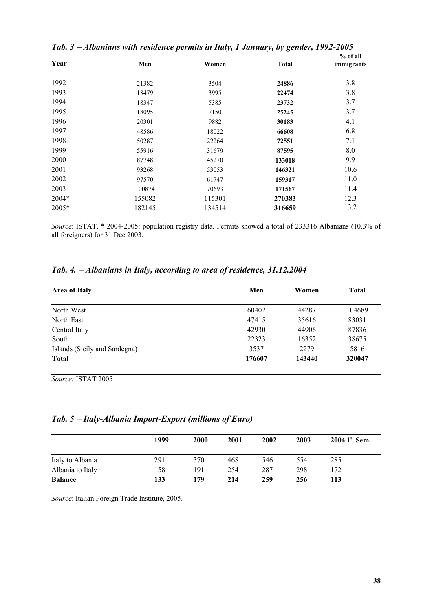| Year    | Men    | Women  | <b>Total</b> | % of all<br>immigrants |
|---------|--------|--------|--------------|------------------------|
| 1992    | 21382  | 3504   | 24886        | 3.8                    |
| 1993    | 18479  | 3995   | 22474        | 3.8                    |
| 1994    | 18347  | 5385   | 23732        | 3.7                    |
| 1995    | 18095  | 7150   | 25245        | 3.7                    |
| 1996    | 20301  | 9882   | 30183        | 4.1                    |
| 1997    | 48586  | 18022  | 66608        | 6.8                    |
| 1998    | 50287  | 22264  | 72551        | 7.1                    |
| 1999    | 55916  | 31679  | 87595        | 8.0                    |
| 2000    | 87748  | 45270  | 133018       | 9.9                    |
| 2001    | 93268  | 53053  | 146321       | 10.6                   |
| 2002    | 97570  | 61747  | 159317       | 11.0                   |
| 2003    | 100874 | 70693  | 171567       | 11.4                   |
| 2004*   | 155082 | 115301 | 270383       | 12.3                   |
| $2005*$ | 182145 | 134514 | 316659       | 13.2                   |

*Tab. 3* − *Albanians with residence permits in Italy, 1 January, by gender, 1992-2005* 

*Source*: ISTAT. \* 2004-2005: population registry data. Permits showed a total of 233316 Albanians (10.3% of all foreigners) for 31 Dec 2003.

#### *Tab. 4.* − *Albanians in Italy, according to area of residence, 31.12.2004*

| Men    | Women  | <b>Total</b> |  |
|--------|--------|--------------|--|
| 60402  | 44287  | 104689       |  |
| 47415  | 35616  | 83031        |  |
| 42930  | 44906  | 87836        |  |
| 22323  | 16352  | 38675        |  |
| 3537   | 2279   | 5816         |  |
| 176607 | 143440 | 320047       |  |
|        |        |              |  |

*Source:* ISTAT 2005

| Tab. 5 - Italy-Albania Import-Export (millions of Euro) |  |
|---------------------------------------------------------|--|
|---------------------------------------------------------|--|

|                  | 1999 | 2000 | 2001 | 2002 | 2003 | $20041$ <sup>st</sup> Sem. |
|------------------|------|------|------|------|------|----------------------------|
| Italy to Albania | 291  | 370  | 468  | 546  | 554  | 285                        |
| Albania to Italy | 158  | 191  | 254  | 287  | 298  | 172                        |
| <b>Balance</b>   | 133  | 179  | 214  | 259  | 256  | 113                        |

*Source*: Italian Foreign Trade Institute, 2005.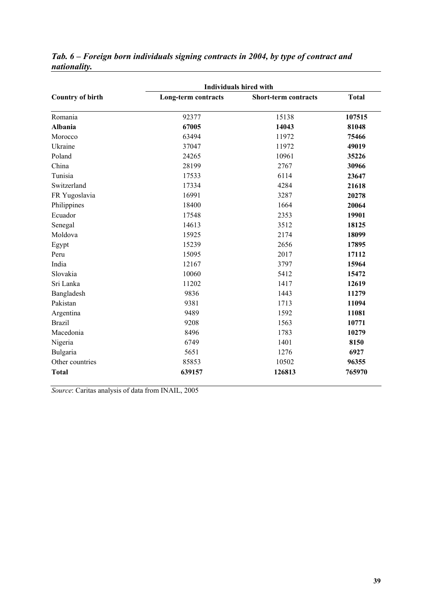|                         | <b>Individuals hired with</b> |                      |              |  |  |  |  |  |
|-------------------------|-------------------------------|----------------------|--------------|--|--|--|--|--|
| <b>Country of birth</b> | Long-term contracts           | Short-term contracts | <b>Total</b> |  |  |  |  |  |
| Romania                 | 92377                         | 15138                | 107515       |  |  |  |  |  |
| Albania                 | 67005                         | 14043                | 81048        |  |  |  |  |  |
| Morocco                 | 63494                         | 11972                | 75466        |  |  |  |  |  |
| Ukraine                 | 37047                         | 11972                | 49019        |  |  |  |  |  |
| Poland                  | 24265                         | 10961                | 35226        |  |  |  |  |  |
| China                   | 28199                         | 2767                 | 30966        |  |  |  |  |  |
| Tunisia                 | 17533                         | 6114                 | 23647        |  |  |  |  |  |
| Switzerland             | 17334                         | 4284                 | 21618        |  |  |  |  |  |
| FR Yugoslavia           | 16991                         | 3287                 | 20278        |  |  |  |  |  |
| Philippines             | 18400                         | 1664                 | 20064        |  |  |  |  |  |
| Ecuador                 | 17548                         | 2353                 | 19901        |  |  |  |  |  |
| Senegal                 | 14613                         | 3512                 | 18125        |  |  |  |  |  |
| Moldova                 | 15925                         | 2174                 | 18099        |  |  |  |  |  |
| Egypt                   | 15239                         | 2656                 | 17895        |  |  |  |  |  |
| Peru                    | 15095                         | 2017                 | 17112        |  |  |  |  |  |
| India                   | 12167                         | 3797                 | 15964        |  |  |  |  |  |
| Slovakia                | 10060                         | 5412                 | 15472        |  |  |  |  |  |
| Sri Lanka               | 11202                         | 1417                 | 12619        |  |  |  |  |  |
| Bangladesh              | 9836                          | 1443                 | 11279        |  |  |  |  |  |
| Pakistan                | 9381                          | 1713                 | 11094        |  |  |  |  |  |
| Argentina               | 9489                          | 1592                 | 11081        |  |  |  |  |  |
| <b>Brazil</b>           | 9208                          | 1563                 | 10771        |  |  |  |  |  |
| Macedonia               | 8496                          | 1783                 | 10279        |  |  |  |  |  |
| Nigeria                 | 6749                          | 1401                 | 8150         |  |  |  |  |  |
| Bulgaria                | 5651                          | 1276                 | 6927         |  |  |  |  |  |
| Other countries         | 85853                         | 10502                | 96355        |  |  |  |  |  |
| <b>Total</b>            | 639157                        | 126813               | 765970       |  |  |  |  |  |

#### *Tab. 6 – Foreign born individuals signing contracts in 2004, by type of contract and nationality.*

*Source*: Caritas analysis of data from INAIL, 2005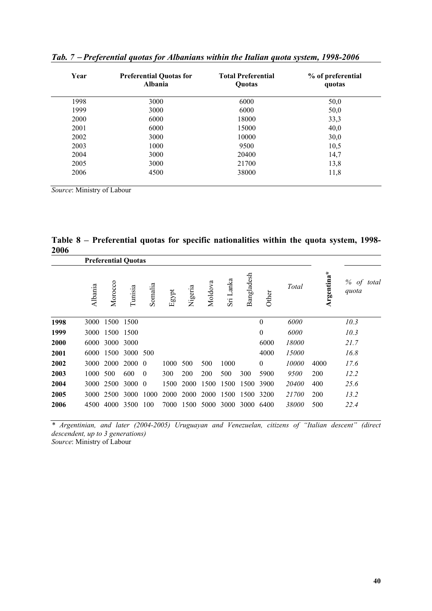| Year | <b>Preferential Quotas for</b><br><b>Albania</b> | <b>Total Preferential</b><br>Quotas | % of preferential<br>quotas |  |  |
|------|--------------------------------------------------|-------------------------------------|-----------------------------|--|--|
| 1998 | 3000                                             | 6000                                | 50,0                        |  |  |
| 1999 | 3000                                             | 6000                                | 50,0                        |  |  |
| 2000 | 6000                                             | 18000                               | 33,3                        |  |  |
| 2001 | 6000                                             | 15000                               | 40,0                        |  |  |
| 2002 | 3000                                             | 10000                               | 30,0                        |  |  |
| 2003 | 1000                                             | 9500                                | 10,5                        |  |  |
| 2004 | 3000                                             | 20400                               | 14,7                        |  |  |
| 2005 | 3000                                             | 21700                               | 13,8                        |  |  |
| 2006 | 4500                                             | 38000                               | 11,8                        |  |  |

*Tab. 7* − *Preferential quotas for Albanians within the Italian quota system, 1998-2006* 

*Source*: Ministry of Labour

**Table 8** − **Preferential quotas for specific nationalities within the quota system, 1998- 2006** 

|      | <b>Preferential Quotas</b> |         |         |          |       |         |         |           |            |                  |       |            |                     |
|------|----------------------------|---------|---------|----------|-------|---------|---------|-----------|------------|------------------|-------|------------|---------------------|
|      | Albania                    | Morocco | Tunisia | Somalia  | Egypt | Nigeria | Moldova | Sri Lanka | Bangladesh | Other            | Total | Argentina* | % of total<br>quota |
| 1998 | 3000                       | 1500    | 1500    |          |       |         |         |           |            | $\theta$         | 6000  |            | 10.3                |
| 1999 | 3000                       | 1500    | 1500    |          |       |         |         |           |            | $\boldsymbol{0}$ | 6000  |            | 10.3                |
| 2000 | 6000                       | 3000    | 3000    |          |       |         |         |           |            | 6000             | 18000 |            | 21.7                |
| 2001 | 6000                       | 1500    | 3000    | 500      |       |         |         |           |            | 4000             | 15000 |            | 16.8                |
| 2002 | 3000                       | 2000    | 2000 0  |          | 1000  | 500     | 500     | 1000      |            | $\mathbf{0}$     | 10000 | 4000       | 17.6                |
| 2003 | 1000                       | 500     | 600     | $\theta$ | 300   | 200     | 200     | 500       | 300        | 5900             | 9500  | 200        | 12.2                |
| 2004 | 3000                       | 2500    | 3000    | $\theta$ | 1500  | 2000    | 1500    | 1500      | 1500       | 3900             | 20400 | 400        | 25.6                |
| 2005 | 3000                       | 2500    | 3000    | 1000     | 2000  | 2000    | 2000    | 1500      | 1500       | 3200             | 21700 | 200        | 13.2                |
| 2006 | 4500                       | 4000    | 3500    | 100      | 7000  | 1500    | 5000    | 3000      | 3000       | 6400             | 38000 | 500        | 22.4                |

*\* Argentinian, and later (2004-2005) Uruguayan and Venezuelan, citizens of "Italian descent" (direct descendent, up to 3 generations) Source*: Ministry of Labour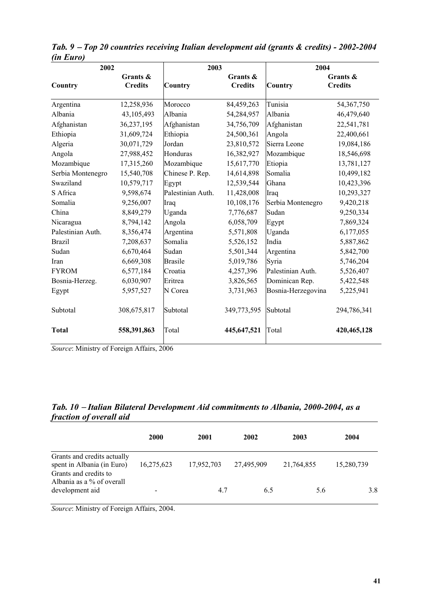| 2002              |                            | 2003              |                            | 2004               |                            |
|-------------------|----------------------------|-------------------|----------------------------|--------------------|----------------------------|
| Country           | Grants &<br><b>Credits</b> | Country           | Grants &<br><b>Credits</b> | <b>Country</b>     | Grants &<br><b>Credits</b> |
| Argentina         | 12,258,936                 | Morocco           | 84,459,263                 | Tunisia            | 54,367,750                 |
| Albania           | 43,105,493                 | Albania           | 54,284,957                 | Albania            | 46,479,640                 |
| Afghanistan       | 36,237,195                 | Afghanistan       | 34,756,709                 | Afghanistan        | 22,541,781                 |
| Ethiopia          | 31,609,724                 | Ethiopia          | 24,500,361                 | Angola             | 22,400,661                 |
| Algeria           | 30,071,729                 | Jordan            | 23,810,572                 | Sierra Leone       | 19,084,186                 |
| Angola            | 27,988,452                 | Honduras          | 16,382,927                 | Mozambique         | 18,546,698                 |
| Mozambique        | 17,315,260                 | Mozambique        | 15,617,770                 | Etiopia            | 13,781,127                 |
| Serbia Montenegro | 15,540,708                 | Chinese P. Rep.   | 14,614,898                 | Somalia            | 10,499,182                 |
| Swaziland         | 10,579,717                 | Egypt             | 12,539,544                 | Ghana              | 10,423,396                 |
| S Africa          | 9,598,674                  | Palestinian Auth. | 11,428,008                 | Iraq               | 10,293,327                 |
| Somalia           | 9,256,007                  | Iraq              | 10,108,176                 | Serbia Montenegro  | 9,420,218                  |
| China             | 8,849,279                  | Uganda            | 7,776,687                  | Sudan              | 9,250,334                  |
| Nicaragua         | 8,794,142                  | Angola            | 6,058,709                  | Egypt              | 7,869,324                  |
| Palestinian Auth. | 8,356,474                  | Argentina         | 5,571,808                  | Uganda             | 6,177,055                  |
| <b>Brazil</b>     | 7,208,637                  | Somalia           | 5,526,152                  | India              | 5,887,862                  |
| Sudan             | 6,670,464                  | Sudan             | 5,501,344                  | Argentina          | 5,842,700                  |
| Iran              | 6,669,308                  | <b>Brasile</b>    | 5,019,786                  | Syria              | 5,746,204                  |
| <b>FYROM</b>      | 6,577,184                  | Croatia           | 4,257,396                  | Palestinian Auth.  | 5,526,407                  |
| Bosnia-Herzeg.    | 6,030,907                  | Eritrea           | 3,826,565                  | Dominican Rep.     | 5,422,548                  |
| Egypt             | 5,957,527                  | N Corea           | 3,731,963                  | Bosnia-Herzegovina | 5,225,941                  |
| Subtotal          | 308,675,817                | Subtotal          | 349,773,595                | Subtotal           | 294,786,341                |
| <b>Total</b>      | 558,391,863                | Total             | 445,647,521                | Total              | 420,465,128                |

*Tab. 9* − *Top 20 countries receiving Italian development aid (grants & credits) - 2002-2004 (in Euro)* 

*Source*: Ministry of Foreign Affairs, 2006

#### *Tab. 10* − *Italian Bilateral Development Aid commitments to Albania, 2000-2004, as a fraction of overall aid*

|                                                                                    | <b>2000</b> | 2001       | 2002       | 2003       | 2004       |
|------------------------------------------------------------------------------------|-------------|------------|------------|------------|------------|
| Grants and credits actually<br>spent in Albania (in Euro)<br>Grants and credits to | 16,275,623  | 17,952,703 | 27,495,909 | 21,764,855 | 15,280,739 |
| Albania as a % of overall<br>development aid                                       |             | 4.7        | 6.5        | 5.6        | 3.8        |

*Source*: Ministry of Foreign Affairs, 2004.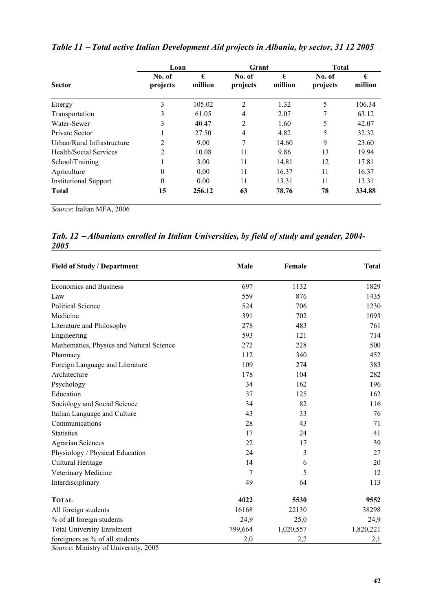|                               | Loan               |              | Grant              |              | <b>Total</b>       |              |
|-------------------------------|--------------------|--------------|--------------------|--------------|--------------------|--------------|
| <b>Sector</b>                 | No. of<br>projects | €<br>million | No. of<br>projects | €<br>million | No. of<br>projects | €<br>million |
| Energy                        | 3                  | 105.02       | 2                  | 1.32         | 5                  | 106.34       |
| Transportation                | 3                  | 61.05        | $\overline{4}$     | 2.07         | 7                  | 63.12        |
| Water-Sewer                   | 3                  | 40.47        | 2                  | 1.60         | 5                  | 42.07        |
| Private Sector                |                    | 27.50        | 4                  | 4.82         | 5                  | 32.32        |
| Urban/Rural Infrastructure    | 2                  | 9.00         | 7                  | 14.60        | 9                  | 23.60        |
| <b>Health/Social Services</b> | $\mathfrak{D}$     | 10.08        | 11                 | 9.86         | 13                 | 19.94        |
| School/Training               |                    | 3.00         | 11                 | 14.81        | 12                 | 17.81        |
| Agriculture                   | $\Omega$           | 0.00         | 11                 | 16.37        | 11                 | 16.37        |
| <b>Institutional Support</b>  | $\Omega$           | 0.00         | 11                 | 13.31        | 11                 | 13.31        |
| <b>Total</b>                  | 15                 | 256.12       | 63                 | 78.76        | 78                 | 334.88       |

*Table 11* − *Total active Italian Development Aid projects in Albania, by sector, 31 12 2005* 

*Source*: Italian MFA, 2006

#### *Tab. 12* − *Albanians enrolled in Italian Universities, by field of study and gender, 2004- 2005*

| <b>Field of Study / Department</b>       | Male    | Female    | <b>Total</b> |
|------------------------------------------|---------|-----------|--------------|
| <b>Economics and Business</b>            | 697     | 1132      | 1829         |
| Law                                      | 559     | 876       | 1435         |
| <b>Political Science</b>                 | 524     | 706       | 1230         |
| Medicine                                 | 391     | 702       | 1093         |
| Literature and Philosophy                | 278     | 483       | 761          |
| Engineering                              | 593     | 121       | 714          |
| Mathematics, Physics and Natural Science | 272     | 228       | 500          |
| Pharmacy                                 | 112     | 340       | 452          |
| Foreign Language and Literature          | 109     | 274       | 383          |
| Architecture                             | 178     | 104       | 282          |
| Psychology                               | 34      | 162       | 196          |
| Education                                | 37      | 125       | 162          |
| Sociology and Social Science             | 34      | 82        | 116          |
| Italian Language and Culture             | 43      | 33        | 76           |
| Communications                           | 28      | 43        | 71           |
| <b>Statistics</b>                        | 17      | 24        | 41           |
| <b>Agrarian Sciences</b>                 | 22      | 17        | 39           |
| Physiology / Physical Education          | 24      | 3         | 27           |
| Cultural Heritage                        | 14      | 6         | 20           |
| Veterinary Medicine                      | 7       | 5         | 12           |
| Interdisciplinary                        | 49      | 64        | 113          |
| <b>TOTAL</b>                             | 4022    | 5530      | 9552         |
| All foreign students                     | 16168   | 22130     | 38298        |
| % of all foreign students                | 24,9    | 25,0      | 24,9         |
| <b>Total University Enrolment</b>        | 799,664 | 1,020,557 | 1,820,221    |
| foreigners as % of all students          | 2,0     | 2,2       | 2,1          |

*Source*: Ministry of University, 2005